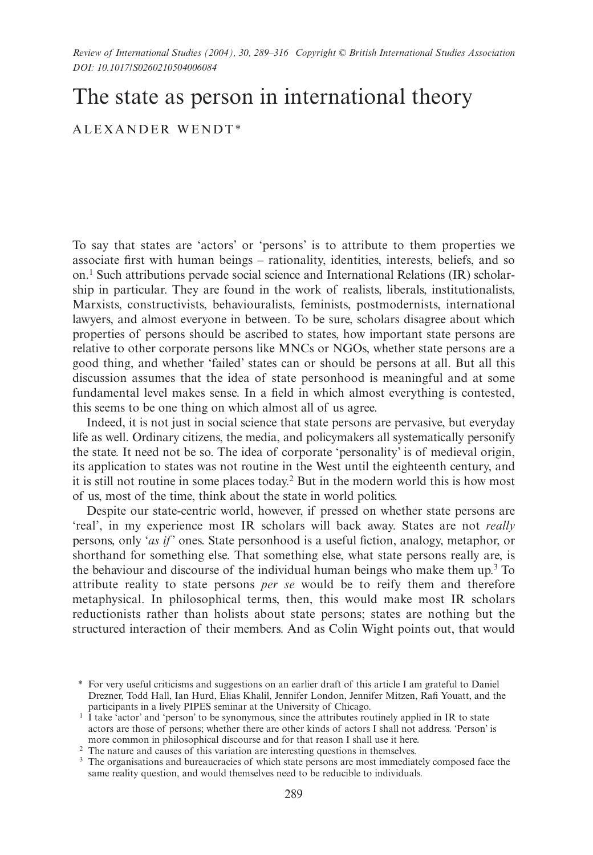*Review of International Studies (2004), 30, 289–316 Copyright © British International Studies Association DOI: 10.1017/S0260210504006084*

# The state as person in international theory

## ALEXANDER WENDT\*

To say that states are 'actors' or 'persons' is to attribute to them properties we associate first with human beings – rationality, identities, interests, beliefs, and so on.1 Such attributions pervade social science and International Relations (IR) scholarship in particular. They are found in the work of realists, liberals, institutionalists, Marxists, constructivists, behaviouralists, feminists, postmodernists, international lawyers, and almost everyone in between. To be sure, scholars disagree about which properties of persons should be ascribed to states, how important state persons are relative to other corporate persons like MNCs or NGOs, whether state persons are a good thing, and whether 'failed' states can or should be persons at all. But all this discussion assumes that the idea of state personhood is meaningful and at some fundamental level makes sense. In a field in which almost everything is contested, this seems to be one thing on which almost all of us agree.

Indeed, it is not just in social science that state persons are pervasive, but everyday life as well. Ordinary citizens, the media, and policymakers all systematically personify the state. It need not be so. The idea of corporate 'personality' is of medieval origin, its application to states was not routine in the West until the eighteenth century, and it is still not routine in some places today.<sup>2</sup> But in the modern world this is how most of us, most of the time, think about the state in world politics.

Despite our state-centric world, however, if pressed on whether state persons are 'real', in my experience most IR scholars will back away. States are not *really* persons, only '*as if*' ones. State personhood is a useful fiction, analogy, metaphor, or shorthand for something else. That something else, what state persons really are, is the behaviour and discourse of the individual human beings who make them up.<sup>3</sup> To attribute reality to state persons *per se* would be to reify them and therefore metaphysical. In philosophical terms, then, this would make most IR scholars reductionists rather than holists about state persons; states are nothing but the structured interaction of their members. And as Colin Wight points out, that would

<sup>\*</sup> For very useful criticisms and suggestions on an earlier draft of this article I am grateful to Daniel Drezner, Todd Hall, Ian Hurd, Elias Khalil, Jennifer London, Jennifer Mitzen, Rafi Youatt, and the participants in a lively PIPES seminar at the University of Chicago.

 $\frac{1}{1}$  I take 'actor' and 'person' to be synonymous, since the attributes routinely applied in IR to state actors are those of persons; whether there are other kinds of actors I shall not address. 'Person' is more common in philosophical discourse and for that reason I shall use it here.

<sup>&</sup>lt;sup>2</sup> The nature and causes of this variation are interesting questions in themselves.

<sup>&</sup>lt;sup>3</sup> The organisations and bureaucracies of which state persons are most immediately composed face the same reality question, and would themselves need to be reducible to individuals.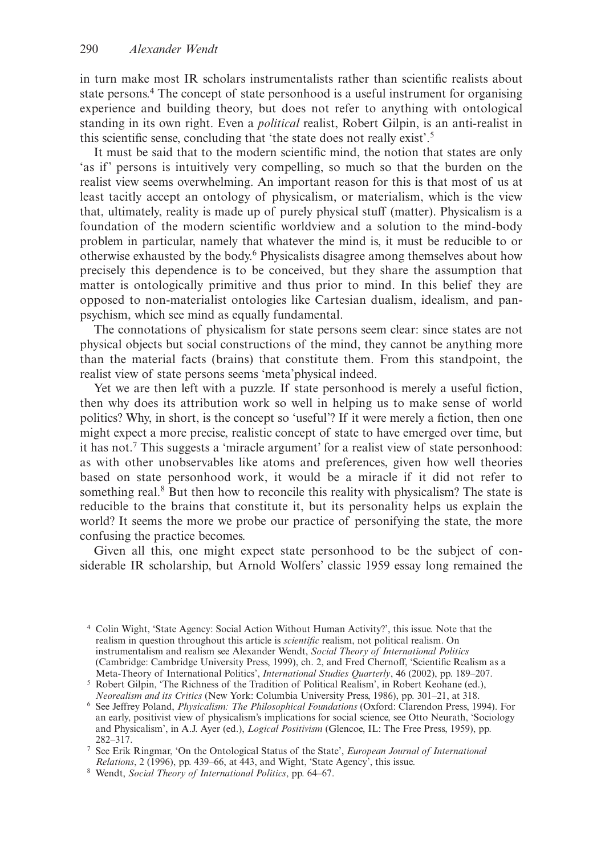in turn make most IR scholars instrumentalists rather than scientific realists about state persons.4 The concept of state personhood is a useful instrument for organising experience and building theory, but does not refer to anything with ontological standing in its own right. Even a *political* realist, Robert Gilpin, is an anti-realist in this scientific sense, concluding that 'the state does not really exist'.5

It must be said that to the modern scientific mind, the notion that states are only 'as if' persons is intuitively very compelling, so much so that the burden on the realist view seems overwhelming. An important reason for this is that most of us at least tacitly accept an ontology of physicalism, or materialism, which is the view that, ultimately, reality is made up of purely physical stuff (matter). Physicalism is a foundation of the modern scientific worldview and a solution to the mind-body problem in particular, namely that whatever the mind is, it must be reducible to or otherwise exhausted by the body.6 Physicalists disagree among themselves about how precisely this dependence is to be conceived, but they share the assumption that matter is ontologically primitive and thus prior to mind. In this belief they are opposed to non-materialist ontologies like Cartesian dualism, idealism, and panpsychism, which see mind as equally fundamental.

The connotations of physicalism for state persons seem clear: since states are not physical objects but social constructions of the mind, they cannot be anything more than the material facts (brains) that constitute them. From this standpoint, the realist view of state persons seems 'meta'physical indeed.

Yet we are then left with a puzzle. If state personhood is merely a useful fiction, then why does its attribution work so well in helping us to make sense of world politics? Why, in short, is the concept so 'useful'? If it were merely a fiction, then one might expect a more precise, realistic concept of state to have emerged over time, but it has not.7 This suggests a 'miracle argument' for a realist view of state personhood: as with other unobservables like atoms and preferences, given how well theories based on state personhood work, it would be a miracle if it did not refer to something real.<sup>8</sup> But then how to reconcile this reality with physicalism? The state is reducible to the brains that constitute it, but its personality helps us explain the world? It seems the more we probe our practice of personifying the state, the more confusing the practice becomes.

Given all this, one might expect state personhood to be the subject of considerable IR scholarship, but Arnold Wolfers' classic 1959 essay long remained the

<sup>4</sup> Colin Wight, 'State Agency: Social Action Without Human Activity?', this issue. Note that the realism in question throughout this article is *scientific* realism, not political realism. On instrumentalism and realism see Alexander Wendt, *Social Theory of International Politics* (Cambridge: Cambridge University Press, 1999), ch. 2, and Fred Chernoff, 'Scientific Realism as a Meta-Theory of International Politics', *International Studies Quarterly*, 46 (2002), pp. 189–207.

<sup>5</sup> Robert Gilpin, 'The Richness of the Tradition of Political Realism', in Robert Keohane (ed.), *Neorealism and its Critics* (New York: Columbia University Press, 1986), pp. 301–21, at 318.

<sup>6</sup> See Jeffrey Poland, *Physicalism: The Philosophical Foundations* (Oxford: Clarendon Press, 1994). For an early, positivist view of physicalism's implications for social science, see Otto Neurath, 'Sociology and Physicalism', in A.J. Ayer (ed.), *Logical Positivism* (Glencoe, IL: The Free Press, 1959), pp. 282–317.

<sup>7</sup> See Erik Ringmar, 'On the Ontological Status of the State', *European Journal of International Relations*, 2 (1996), pp. 439–66, at 443, and Wight, 'State Agency', this issue.

<sup>8</sup> Wendt, *Social Theory of International Politics*, pp. 64–67.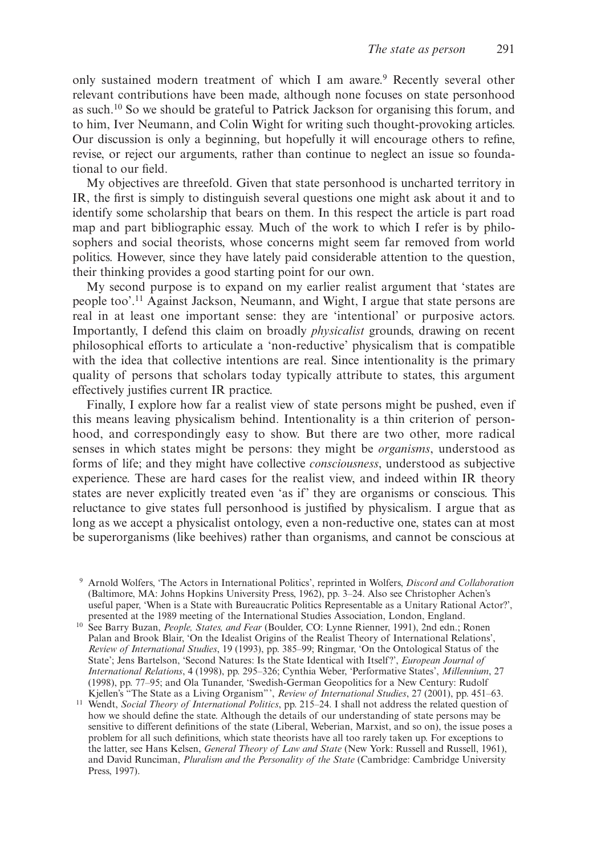only sustained modern treatment of which I am aware.9 Recently several other relevant contributions have been made, although none focuses on state personhood as such.10 So we should be grateful to Patrick Jackson for organising this forum, and to him, Iver Neumann, and Colin Wight for writing such thought-provoking articles. Our discussion is only a beginning, but hopefully it will encourage others to refine, revise, or reject our arguments, rather than continue to neglect an issue so foundational to our field.

My objectives are threefold. Given that state personhood is uncharted territory in IR, the first is simply to distinguish several questions one might ask about it and to identify some scholarship that bears on them. In this respect the article is part road map and part bibliographic essay. Much of the work to which I refer is by philosophers and social theorists, whose concerns might seem far removed from world politics. However, since they have lately paid considerable attention to the question, their thinking provides a good starting point for our own.

My second purpose is to expand on my earlier realist argument that 'states are people too'.11 Against Jackson, Neumann, and Wight, I argue that state persons are real in at least one important sense: they are 'intentional' or purposive actors. Importantly, I defend this claim on broadly *physicalist* grounds, drawing on recent philosophical efforts to articulate a 'non-reductive' physicalism that is compatible with the idea that collective intentions are real. Since intentionality is the primary quality of persons that scholars today typically attribute to states, this argument effectively justifies current IR practice.

Finally, I explore how far a realist view of state persons might be pushed, even if this means leaving physicalism behind. Intentionality is a thin criterion of personhood, and correspondingly easy to show. But there are two other, more radical senses in which states might be persons: they might be *organisms*, understood as forms of life; and they might have collective *consciousness*, understood as subjective experience. These are hard cases for the realist view, and indeed within IR theory states are never explicitly treated even 'as if' they are organisms or conscious. This reluctance to give states full personhood is justified by physicalism. I argue that as long as we accept a physicalist ontology, even a non-reductive one, states can at most be superorganisms (like beehives) rather than organisms, and cannot be conscious at

<sup>9</sup> Arnold Wolfers, 'The Actors in International Politics', reprinted in Wolfers, *Discord and Collaboration* (Baltimore, MA: Johns Hopkins University Press, 1962), pp. 3–24. Also see Christopher Achen's useful paper, 'When is a State with Bureaucratic Politics Representable as a Unitary Rational Actor?', presented at the 1989 meeting of the International Studies Association, London, England.

<sup>10</sup> See Barry Buzan, *People, States, and Fear* (Boulder, CO: Lynne Rienner, 1991), 2nd edn.; Ronen Palan and Brook Blair, 'On the Idealist Origins of the Realist Theory of International Relations', *Review of International Studies*, 19 (1993), pp. 385–99; Ringmar, 'On the Ontological Status of the State'; Jens Bartelson, 'Second Natures: Is the State Identical with Itself?', *European Journal of International Relations*, 4 (1998), pp. 295–326; Cynthia Weber, 'Performative States', *Millennium*, 27 (1998), pp. 77–95; and Ola Tunander, 'Swedish-German Geopolitics for a New Century: Rudolf Kjellen's "The State as a Living Organism"', *Review of International Studies*, 27 (2001), pp. 451–63.

<sup>11</sup> Wendt, *Social Theory of International Politics*, pp. 215–24. I shall not address the related question of how we should define the state. Although the details of our understanding of state persons may be sensitive to different definitions of the state (Liberal, Weberian, Marxist, and so on), the issue poses a problem for all such definitions, which state theorists have all too rarely taken up. For exceptions to the latter, see Hans Kelsen, *General Theory of Law and State* (New York: Russell and Russell, 1961), and David Runciman, *Pluralism and the Personality of the State* (Cambridge: Cambridge University Press, 1997).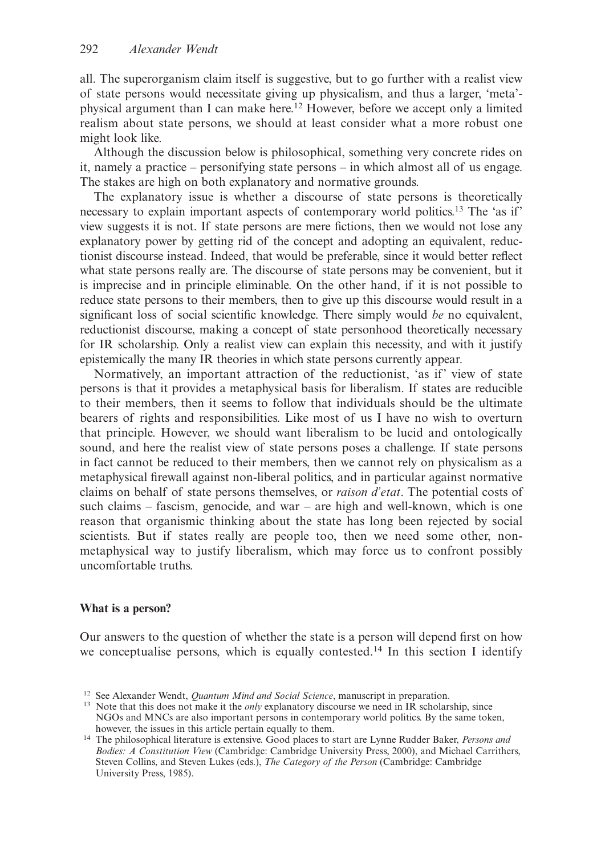all. The superorganism claim itself is suggestive, but to go further with a realist view of state persons would necessitate giving up physicalism, and thus a larger, 'meta' physical argument than I can make here.12 However, before we accept only a limited realism about state persons, we should at least consider what a more robust one might look like.

Although the discussion below is philosophical, something very concrete rides on it, namely a practice – personifying state persons – in which almost all of us engage. The stakes are high on both explanatory and normative grounds.

The explanatory issue is whether a discourse of state persons is theoretically necessary to explain important aspects of contemporary world politics.13 The 'as if' view suggests it is not. If state persons are mere fictions, then we would not lose any explanatory power by getting rid of the concept and adopting an equivalent, reductionist discourse instead. Indeed, that would be preferable, since it would better reflect what state persons really are. The discourse of state persons may be convenient, but it is imprecise and in principle eliminable. On the other hand, if it is not possible to reduce state persons to their members, then to give up this discourse would result in a significant loss of social scientific knowledge. There simply would *be* no equivalent, reductionist discourse, making a concept of state personhood theoretically necessary for IR scholarship. Only a realist view can explain this necessity, and with it justify epistemically the many IR theories in which state persons currently appear.

Normatively, an important attraction of the reductionist, 'as if' view of state persons is that it provides a metaphysical basis for liberalism. If states are reducible to their members, then it seems to follow that individuals should be the ultimate bearers of rights and responsibilities. Like most of us I have no wish to overturn that principle. However, we should want liberalism to be lucid and ontologically sound, and here the realist view of state persons poses a challenge. If state persons in fact cannot be reduced to their members, then we cannot rely on physicalism as a metaphysical firewall against non-liberal politics, and in particular against normative claims on behalf of state persons themselves, or *raison d'etat*. The potential costs of such claims – fascism, genocide, and war – are high and well-known, which is one reason that organismic thinking about the state has long been rejected by social scientists. But if states really are people too, then we need some other, nonmetaphysical way to justify liberalism, which may force us to confront possibly uncomfortable truths.

## **What is a person?**

Our answers to the question of whether the state is a person will depend first on how we conceptualise persons, which is equally contested.<sup>14</sup> In this section I identify

<sup>13</sup> Note that this does not make it the *only* explanatory discourse we need in IR scholarship, since NGOs and MNCs are also important persons in contemporary world politics. By the same token, however, the issues in this article pertain equally to them.

<sup>12</sup> See Alexander Wendt, *Quantum Mind and Social Science*, manuscript in preparation.

<sup>14</sup> The philosophical literature is extensive. Good places to start are Lynne Rudder Baker, *Persons and Bodies: A Constitution View* (Cambridge: Cambridge University Press, 2000), and Michael Carrithers, Steven Collins, and Steven Lukes (eds.), *The Category of the Person* (Cambridge: Cambridge University Press, 1985).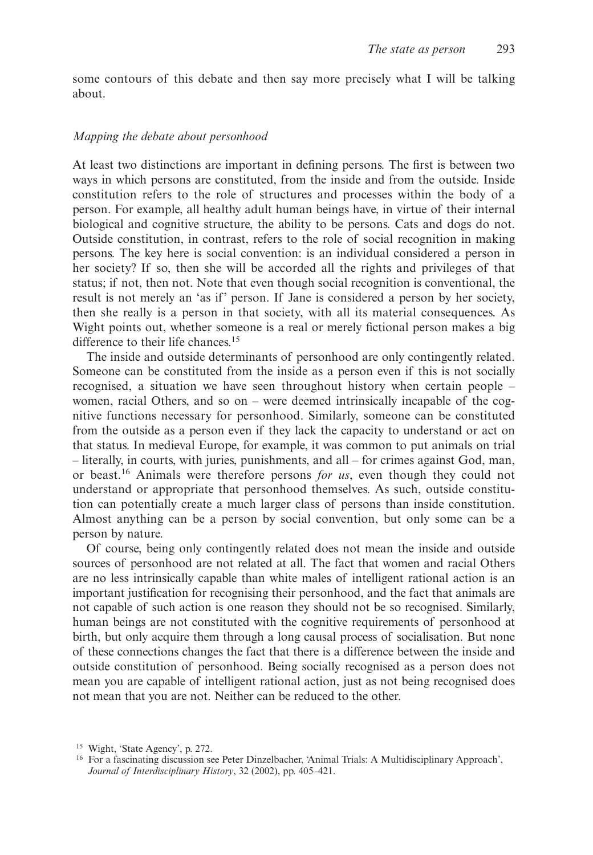some contours of this debate and then say more precisely what I will be talking about.

## *Mapping the debate about personhood*

At least two distinctions are important in defining persons. The first is between two ways in which persons are constituted, from the inside and from the outside. Inside constitution refers to the role of structures and processes within the body of a person. For example, all healthy adult human beings have, in virtue of their internal biological and cognitive structure, the ability to be persons. Cats and dogs do not. Outside constitution, in contrast, refers to the role of social recognition in making persons. The key here is social convention: is an individual considered a person in her society? If so, then she will be accorded all the rights and privileges of that status; if not, then not. Note that even though social recognition is conventional, the result is not merely an 'as if' person. If Jane is considered a person by her society, then she really is a person in that society, with all its material consequences. As Wight points out, whether someone is a real or merely fictional person makes a big difference to their life chances.<sup>15</sup>

The inside and outside determinants of personhood are only contingently related. Someone can be constituted from the inside as a person even if this is not socially recognised, a situation we have seen throughout history when certain people – women, racial Others, and so on – were deemed intrinsically incapable of the cognitive functions necessary for personhood. Similarly, someone can be constituted from the outside as a person even if they lack the capacity to understand or act on that status. In medieval Europe, for example, it was common to put animals on trial – literally, in courts, with juries, punishments, and all – for crimes against God, man, or beast.16 Animals were therefore persons *for us*, even though they could not understand or appropriate that personhood themselves. As such, outside constitution can potentially create a much larger class of persons than inside constitution. Almost anything can be a person by social convention, but only some can be a person by nature.

Of course, being only contingently related does not mean the inside and outside sources of personhood are not related at all. The fact that women and racial Others are no less intrinsically capable than white males of intelligent rational action is an important justification for recognising their personhood, and the fact that animals are not capable of such action is one reason they should not be so recognised. Similarly, human beings are not constituted with the cognitive requirements of personhood at birth, but only acquire them through a long causal process of socialisation. But none of these connections changes the fact that there is a difference between the inside and outside constitution of personhood. Being socially recognised as a person does not mean you are capable of intelligent rational action, just as not being recognised does not mean that you are not. Neither can be reduced to the other.

<sup>15</sup> Wight, 'State Agency', p. 272.

<sup>16</sup> For a fascinating discussion see Peter Dinzelbacher, 'Animal Trials: A Multidisciplinary Approach', *Journal of Interdisciplinary History*, 32 (2002), pp. 405–421.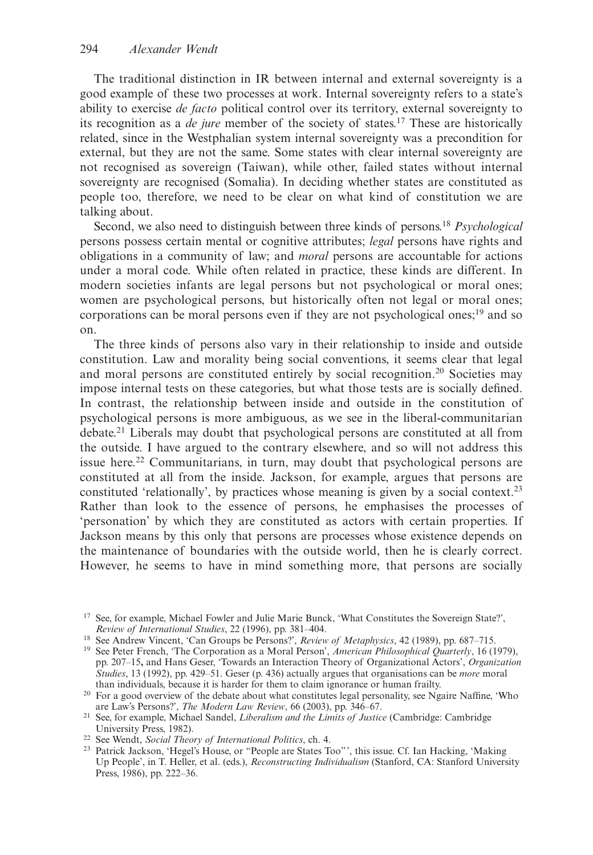The traditional distinction in IR between internal and external sovereignty is a good example of these two processes at work. Internal sovereignty refers to a state's ability to exercise *de facto* political control over its territory, external sovereignty to its recognition as a *de jure* member of the society of states.17 These are historically related, since in the Westphalian system internal sovereignty was a precondition for external, but they are not the same. Some states with clear internal sovereignty are not recognised as sovereign (Taiwan), while other, failed states without internal sovereignty are recognised (Somalia). In deciding whether states are constituted as people too, therefore, we need to be clear on what kind of constitution we are talking about.

Second, we also need to distinguish between three kinds of persons.18 *Psychological* persons possess certain mental or cognitive attributes; *legal* persons have rights and obligations in a community of law; and *moral* persons are accountable for actions under a moral code. While often related in practice, these kinds are different. In modern societies infants are legal persons but not psychological or moral ones; women are psychological persons, but historically often not legal or moral ones; corporations can be moral persons even if they are not psychological ones;19 and so on.

The three kinds of persons also vary in their relationship to inside and outside constitution. Law and morality being social conventions, it seems clear that legal and moral persons are constituted entirely by social recognition.20 Societies may impose internal tests on these categories, but what those tests are is socially defined. In contrast, the relationship between inside and outside in the constitution of psychological persons is more ambiguous, as we see in the liberal-communitarian debate.21 Liberals may doubt that psychological persons are constituted at all from the outside. I have argued to the contrary elsewhere, and so will not address this issue here.22 Communitarians, in turn, may doubt that psychological persons are constituted at all from the inside. Jackson, for example, argues that persons are constituted 'relationally', by practices whose meaning is given by a social context.<sup>23</sup> Rather than look to the essence of persons, he emphasises the processes of 'personation' by which they are constituted as actors with certain properties. If Jackson means by this only that persons are processes whose existence depends on the maintenance of boundaries with the outside world, then he is clearly correct. However, he seems to have in mind something more, that persons are socially

<sup>&</sup>lt;sup>17</sup> See, for example, Michael Fowler and Julie Marie Bunck, 'What Constitutes the Sovereign State?', *Review of International Studies*, 22 (1996), pp. 381–404.

<sup>18</sup> See Andrew Vincent, 'Can Groups be Persons?', *Review of Metaphysics*, 42 (1989), pp. 687–715.

<sup>19</sup> See Peter French, 'The Corporation as a Moral Person', *American Philosophical Quarterly*, 16 (1979), pp. 207–15**,** and Hans Geser, 'Towards an Interaction Theory of Organizational Actors', *Organization Studies*, 13 (1992), pp. 429–51. Geser (p. 436) actually argues that organisations can be *more* moral than individuals, because it is harder for them to claim ignorance or human frailty.

<sup>&</sup>lt;sup>20</sup> For a good overview of the debate about what constitutes legal personality, see Ngaire Naffine, 'Who are Law's Persons?', *The Modern Law Review*, 66 (2003), pp. 346–67.

<sup>21</sup> See, for example, Michael Sandel, *Liberalism and the Limits of Justice* (Cambridge: Cambridge University Press, 1982).

<sup>22</sup> See Wendt, *Social Theory of International Politics*, ch. 4.

<sup>23</sup> Patrick Jackson, 'Hegel's House, or "People are States Too"', this issue. Cf. Ian Hacking, 'Making Up People', in T. Heller, et al. (eds.), *Reconstructing Individualism* (Stanford, CA: Stanford University Press, 1986), pp. 222–36.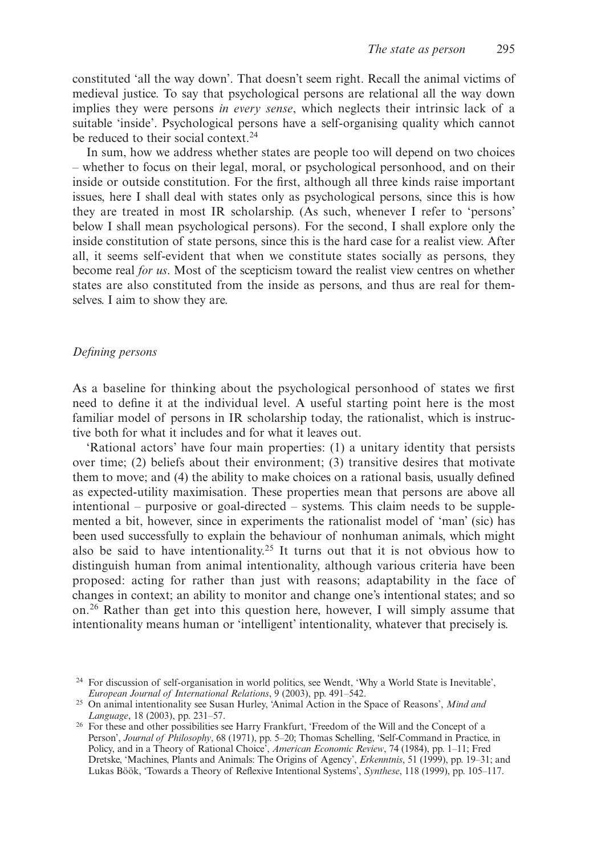constituted 'all the way down'. That doesn't seem right. Recall the animal victims of medieval justice. To say that psychological persons are relational all the way down implies they were persons *in every sense*, which neglects their intrinsic lack of a suitable 'inside'. Psychological persons have a self-organising quality which cannot be reduced to their social context.<sup>24</sup>

In sum, how we address whether states are people too will depend on two choices – whether to focus on their legal, moral, or psychological personhood, and on their inside or outside constitution. For the first, although all three kinds raise important issues, here I shall deal with states only as psychological persons, since this is how they are treated in most IR scholarship. (As such, whenever I refer to 'persons' below I shall mean psychological persons). For the second, I shall explore only the inside constitution of state persons, since this is the hard case for a realist view. After all, it seems self-evident that when we constitute states socially as persons, they become real *for us*. Most of the scepticism toward the realist view centres on whether states are also constituted from the inside as persons, and thus are real for themselves. I aim to show they are.

## *Defining persons*

As a baseline for thinking about the psychological personhood of states we first need to define it at the individual level. A useful starting point here is the most familiar model of persons in IR scholarship today, the rationalist, which is instructive both for what it includes and for what it leaves out.

'Rational actors' have four main properties: (1) a unitary identity that persists over time; (2) beliefs about their environment; (3) transitive desires that motivate them to move; and (4) the ability to make choices on a rational basis, usually defined as expected-utility maximisation. These properties mean that persons are above all intentional – purposive or goal-directed – systems. This claim needs to be supplemented a bit, however, since in experiments the rationalist model of 'man' (sic) has been used successfully to explain the behaviour of nonhuman animals, which might also be said to have intentionality.<sup>25</sup> It turns out that it is not obvious how to distinguish human from animal intentionality, although various criteria have been proposed: acting for rather than just with reasons; adaptability in the face of changes in context; an ability to monitor and change one's intentional states; and so on.26 Rather than get into this question here, however, I will simply assume that intentionality means human or 'intelligent' intentionality, whatever that precisely is.

<sup>24</sup> For discussion of self-organisation in world politics, see Wendt, 'Why a World State is Inevitable', *European Journal of International Relations*, 9 (2003), pp. 491–542.

<sup>25</sup> On animal intentionality see Susan Hurley, 'Animal Action in the Space of Reasons', *Mind and Language*, 18 (2003), pp. 231–57.

<sup>&</sup>lt;sup>26</sup> For these and other possibilities see Harry Frankfurt, 'Freedom of the Will and the Concept of a Person', *Journal of Philosophy*, 68 (1971), pp. 5–20; Thomas Schelling, 'Self-Command in Practice, in Policy, and in a Theory of Rational Choice', *American Economic Review*, 74 (1984), pp. 1–11; Fred Dretske, 'Machines, Plants and Animals: The Origins of Agency', *Erkenntnis*, 51 (1999), pp. 19–31; and Lukas Böök, 'Towards a Theory of Reflexive Intentional Systems', *Synthese*, 118 (1999), pp. 105–117.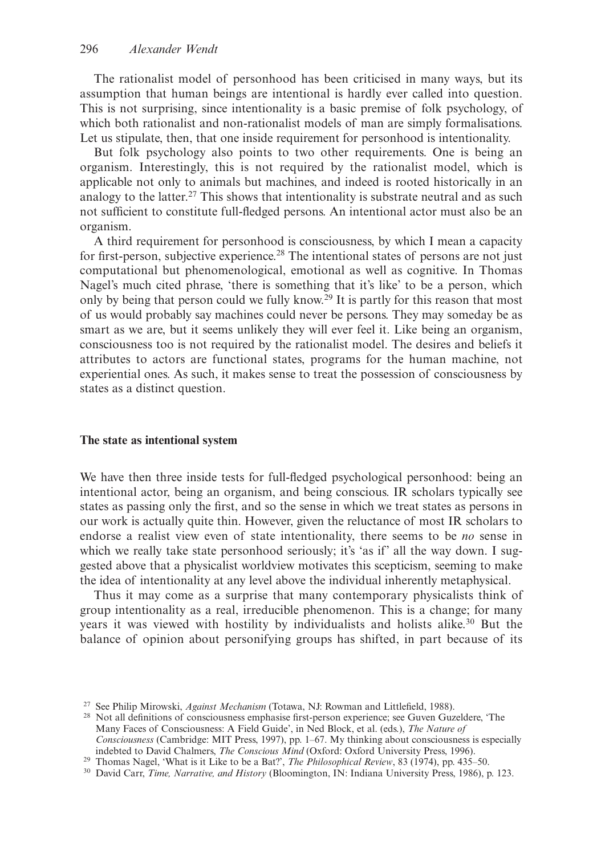The rationalist model of personhood has been criticised in many ways, but its assumption that human beings are intentional is hardly ever called into question. This is not surprising, since intentionality is a basic premise of folk psychology, of which both rationalist and non-rationalist models of man are simply formalisations. Let us stipulate, then, that one inside requirement for personhood is intentionality.

But folk psychology also points to two other requirements. One is being an organism. Interestingly, this is not required by the rationalist model, which is applicable not only to animals but machines, and indeed is rooted historically in an analogy to the latter.<sup>27</sup> This shows that intentionality is substrate neutral and as such not sufficient to constitute full-fledged persons. An intentional actor must also be an organism.

A third requirement for personhood is consciousness, by which I mean a capacity for first-person, subjective experience.<sup>28</sup> The intentional states of persons are not just computational but phenomenological, emotional as well as cognitive. In Thomas Nagel's much cited phrase, 'there is something that it's like' to be a person, which only by being that person could we fully know.29 It is partly for this reason that most of us would probably say machines could never be persons. They may someday be as smart as we are, but it seems unlikely they will ever feel it. Like being an organism, consciousness too is not required by the rationalist model. The desires and beliefs it attributes to actors are functional states, programs for the human machine, not experiential ones. As such, it makes sense to treat the possession of consciousness by states as a distinct question.

## **The state as intentional system**

We have then three inside tests for full-fledged psychological personhood: being an intentional actor, being an organism, and being conscious. IR scholars typically see states as passing only the first, and so the sense in which we treat states as persons in our work is actually quite thin. However, given the reluctance of most IR scholars to endorse a realist view even of state intentionality, there seems to be *no* sense in which we really take state personhood seriously; it's 'as if' all the way down. I suggested above that a physicalist worldview motivates this scepticism, seeming to make the idea of intentionality at any level above the individual inherently metaphysical.

Thus it may come as a surprise that many contemporary physicalists think of group intentionality as a real, irreducible phenomenon. This is a change; for many years it was viewed with hostility by individualists and holists alike.30 But the balance of opinion about personifying groups has shifted, in part because of its

<sup>28</sup> Not all definitions of consciousness emphasise first-person experience; see Guven Guzeldere, 'The Many Faces of Consciousness: A Field Guide', in Ned Block, et al. (eds.), *The Nature of Consciousness* (Cambridge: MIT Press, 1997), pp. 1–67. My thinking about consciousness is especially indebted to David Chalmers, *The Conscious Mind* (Oxford: Oxford University Press, 1996).

<sup>29</sup> Thomas Nagel, 'What is it Like to be a Bat?', *The Philosophical Review*, 83 (1974), pp. 435–50.

<sup>27</sup> See Philip Mirowski, *Against Mechanism* (Totawa, NJ: Rowman and Littlefield, 1988).

<sup>&</sup>lt;sup>30</sup> David Carr, *Time, Narrative, and History* (Bloomington, IN: Indiana University Press, 1986), p. 123.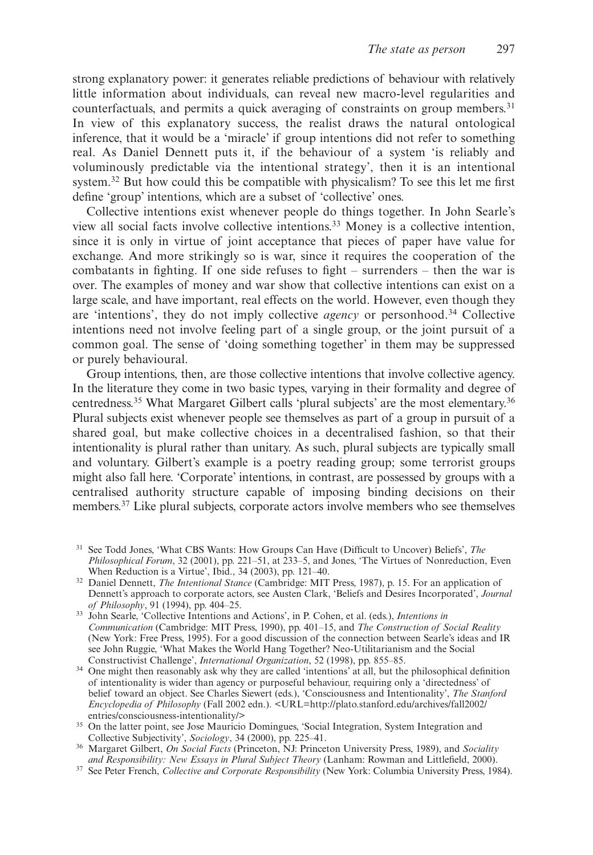strong explanatory power: it generates reliable predictions of behaviour with relatively little information about individuals, can reveal new macro-level regularities and counterfactuals, and permits a quick averaging of constraints on group members.<sup>31</sup> In view of this explanatory success, the realist draws the natural ontological inference, that it would be a 'miracle' if group intentions did not refer to something real. As Daniel Dennett puts it, if the behaviour of a system 'is reliably and voluminously predictable via the intentional strategy', then it is an intentional system.<sup>32</sup> But how could this be compatible with physicalism? To see this let me first define 'group' intentions, which are a subset of 'collective' ones.

Collective intentions exist whenever people do things together. In John Searle's view all social facts involve collective intentions.33 Money is a collective intention, since it is only in virtue of joint acceptance that pieces of paper have value for exchange. And more strikingly so is war, since it requires the cooperation of the combatants in fighting. If one side refuses to fight – surrenders – then the war is over. The examples of money and war show that collective intentions can exist on a large scale, and have important, real effects on the world. However, even though they are 'intentions', they do not imply collective *agency* or personhood.34 Collective intentions need not involve feeling part of a single group, or the joint pursuit of a common goal. The sense of 'doing something together' in them may be suppressed or purely behavioural.

Group intentions, then, are those collective intentions that involve collective agency. In the literature they come in two basic types, varying in their formality and degree of centredness.35 What Margaret Gilbert calls 'plural subjects' are the most elementary.36 Plural subjects exist whenever people see themselves as part of a group in pursuit of a shared goal, but make collective choices in a decentralised fashion, so that their intentionality is plural rather than unitary. As such, plural subjects are typically small and voluntary. Gilbert's example is a poetry reading group; some terrorist groups might also fall here. 'Corporate' intentions, in contrast, are possessed by groups with a centralised authority structure capable of imposing binding decisions on their members.37 Like plural subjects, corporate actors involve members who see themselves

<sup>31</sup> See Todd Jones, 'What CBS Wants: How Groups Can Have (Difficult to Uncover) Beliefs', *The Philosophical Forum*, 32 (2001), pp. 221–51, at 233–5, and Jones, 'The Virtues of Nonreduction, Even When Reduction is a Virtue', Ibid., 34 (2003), pp. 121–40.

<sup>32</sup> Daniel Dennett, *The Intentional Stance* (Cambridge: MIT Press, 1987), p. 15. For an application of Dennett's approach to corporate actors, see Austen Clark, 'Beliefs and Desires Incorporated', *Journal of Philosophy*, 91 (1994), pp. 404–25.

<sup>33</sup> John Searle, 'Collective Intentions and Actions', in P. Cohen, et al. (eds.), *Intentions in Communication* (Cambridge: MIT Press, 1990), pp. 401–15, and *The Construction of Social Reality* (New York: Free Press, 1995). For a good discussion of the connection between Searle's ideas and IR see John Ruggie, 'What Makes the World Hang Together? Neo-Utilitarianism and the Social Constructivist Challenge', *International Organization*, 52 (1998), pp. 855–85.

<sup>&</sup>lt;sup>34</sup> One might then reasonably ask why they are called 'intentions' at all, but the philosophical definition of intentionality is wider than agency or purposeful behaviour, requiring only a 'directedness' of belief toward an object. See Charles Siewert (eds.), 'Consciousness and Intentionality', *The Stanford Encyclopedia of Philosophy* (Fall 2002 edn.). <URL=http://plato.stanford.edu/archives/fall2002/ entries/consciousness-intentionality/>

<sup>&</sup>lt;sup>35</sup> On the latter point, see Jose Mauricio Domingues, 'Social Integration, System Integration and Collective Subjectivity', *Sociology*, 34 (2000), pp. 225–41.

<sup>36</sup> Margaret Gilbert, *On Social Facts* (Princeton, NJ: Princeton University Press, 1989), and *Sociality and Responsibility: New Essays in Plural Subject Theory* (Lanham: Rowman and Littlefield, 2000).

<sup>37</sup> See Peter French, *Collective and Corporate Responsibility* (New York: Columbia University Press, 1984).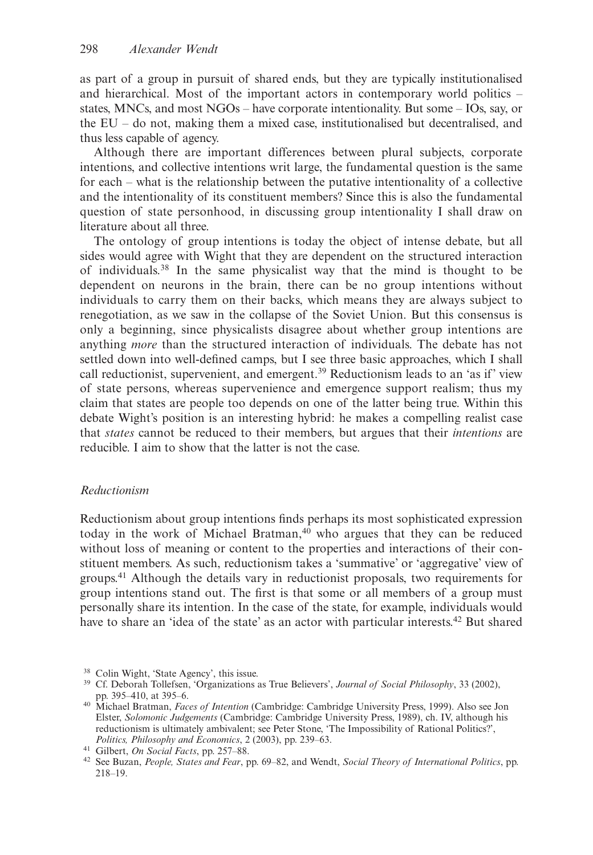as part of a group in pursuit of shared ends, but they are typically institutionalised and hierarchical. Most of the important actors in contemporary world politics – states, MNCs, and most NGOs – have corporate intentionality. But some – IOs, say, or the EU – do not, making them a mixed case, institutionalised but decentralised, and thus less capable of agency.

Although there are important differences between plural subjects, corporate intentions, and collective intentions writ large, the fundamental question is the same for each – what is the relationship between the putative intentionality of a collective and the intentionality of its constituent members? Since this is also the fundamental question of state personhood, in discussing group intentionality I shall draw on literature about all three.

The ontology of group intentions is today the object of intense debate, but all sides would agree with Wight that they are dependent on the structured interaction of individuals.38 In the same physicalist way that the mind is thought to be dependent on neurons in the brain, there can be no group intentions without individuals to carry them on their backs, which means they are always subject to renegotiation, as we saw in the collapse of the Soviet Union. But this consensus is only a beginning, since physicalists disagree about whether group intentions are anything *more* than the structured interaction of individuals. The debate has not settled down into well-defined camps, but I see three basic approaches, which I shall call reductionist, supervenient, and emergent.<sup>39</sup> Reductionism leads to an 'as if' view of state persons, whereas supervenience and emergence support realism; thus my claim that states are people too depends on one of the latter being true. Within this debate Wight's position is an interesting hybrid: he makes a compelling realist case that *states* cannot be reduced to their members, but argues that their *intentions* are reducible. I aim to show that the latter is not the case.

## *Reductionism*

Reductionism about group intentions finds perhaps its most sophisticated expression today in the work of Michael Bratman,<sup>40</sup> who argues that they can be reduced without loss of meaning or content to the properties and interactions of their constituent members. As such, reductionism takes a 'summative' or 'aggregative' view of groups.41 Although the details vary in reductionist proposals, two requirements for group intentions stand out. The first is that some or all members of a group must personally share its intention. In the case of the state, for example, individuals would have to share an 'idea of the state' as an actor with particular interests.<sup>42</sup> But shared

<sup>38</sup> Colin Wight, 'State Agency', this issue.

<sup>39</sup> Cf. Deborah Tollefsen, 'Organizations as True Believers', *Journal of Social Philosophy*, 33 (2002), pp. 395–410, at 395–6.

<sup>40</sup> Michael Bratman, *Faces of Intention* (Cambridge: Cambridge University Press, 1999). Also see Jon Elster, *Solomonic Judgements* (Cambridge: Cambridge University Press, 1989), ch. IV, although his reductionism is ultimately ambivalent; see Peter Stone, 'The Impossibility of Rational Politics?', *Politics, Philosophy and Economics*, 2 (2003), pp. 239–63.

<sup>41</sup> Gilbert, *On Social Facts*, pp. 257–88.

<sup>42</sup> See Buzan, *People, States and Fear*, pp. 69–82, and Wendt, *Social Theory of International Politics*, pp. 218–19.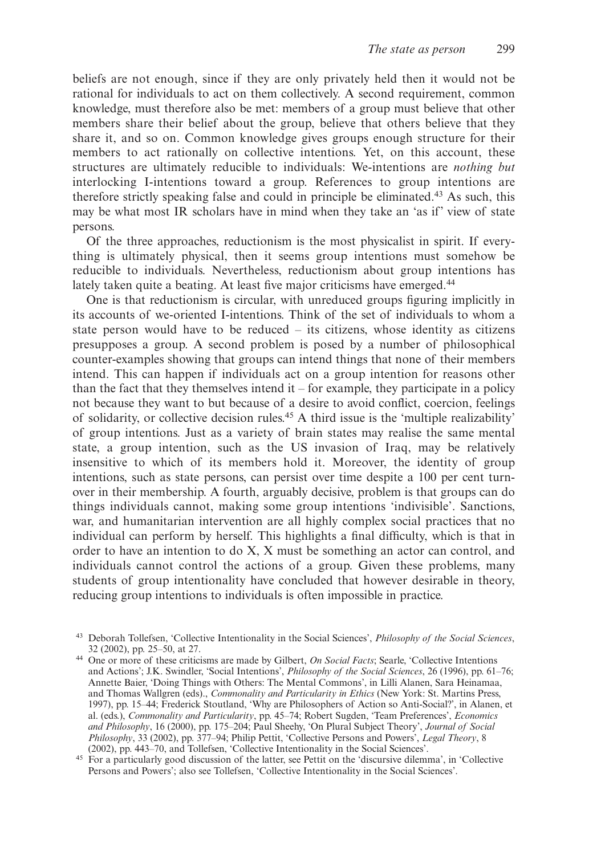beliefs are not enough, since if they are only privately held then it would not be rational for individuals to act on them collectively. A second requirement, common knowledge, must therefore also be met: members of a group must believe that other members share their belief about the group, believe that others believe that they share it, and so on. Common knowledge gives groups enough structure for their members to act rationally on collective intentions. Yet, on this account, these structures are ultimately reducible to individuals: We-intentions are *nothing but* interlocking I-intentions toward a group. References to group intentions are therefore strictly speaking false and could in principle be eliminated.43 As such, this may be what most IR scholars have in mind when they take an 'as if' view of state persons.

Of the three approaches, reductionism is the most physicalist in spirit. If everything is ultimately physical, then it seems group intentions must somehow be reducible to individuals. Nevertheless, reductionism about group intentions has lately taken quite a beating. At least five major criticisms have emerged.<sup>44</sup>

One is that reductionism is circular, with unreduced groups figuring implicitly in its accounts of we-oriented I-intentions. Think of the set of individuals to whom a state person would have to be reduced – its citizens, whose identity as citizens presupposes a group. A second problem is posed by a number of philosophical counter-examples showing that groups can intend things that none of their members intend. This can happen if individuals act on a group intention for reasons other than the fact that they themselves intend it – for example, they participate in a policy not because they want to but because of a desire to avoid conflict, coercion, feelings of solidarity, or collective decision rules.45 A third issue is the 'multiple realizability' of group intentions. Just as a variety of brain states may realise the same mental state, a group intention, such as the US invasion of Iraq, may be relatively insensitive to which of its members hold it. Moreover, the identity of group intentions, such as state persons, can persist over time despite a 100 per cent turnover in their membership. A fourth, arguably decisive, problem is that groups can do things individuals cannot, making some group intentions 'indivisible'. Sanctions, war, and humanitarian intervention are all highly complex social practices that no individual can perform by herself. This highlights a final difficulty, which is that in order to have an intention to do X, X must be something an actor can control, and individuals cannot control the actions of a group. Given these problems, many students of group intentionality have concluded that however desirable in theory, reducing group intentions to individuals is often impossible in practice.

<sup>43</sup> Deborah Tollefsen, 'Collective Intentionality in the Social Sciences', *Philosophy of the Social Sciences*, 32 (2002), pp. 25–50, at 27.

<sup>44</sup> One or more of these criticisms are made by Gilbert, *On Social Facts*; Searle, 'Collective Intentions and Actions'; J.K. Swindler, 'Social Intentions', *Philosophy of the Social Sciences*, 26 (1996), pp. 61–76; Annette Baier, 'Doing Things with Others: The Mental Commons', in Lilli Alanen, Sara Heinamaa, and Thomas Wallgren (eds)., *Commonality and Particularity in Ethics* (New York: St. Martins Press, 1997), pp. 15–44; Frederick Stoutland, 'Why are Philosophers of Action so Anti-Social?', in Alanen, et al. (eds.), *Commonality and Particularity*, pp. 45–74; Robert Sugden, 'Team Preferences', *Economics and Philosophy*, 16 (2000), pp. 175–204; Paul Sheehy, 'On Plural Subject Theory', *Journal of Social Philosophy*, 33 (2002), pp. 377–94; Philip Pettit, 'Collective Persons and Powers', *Legal Theory*, 8 (2002), pp. 443–70, and Tollefsen, 'Collective Intentionality in the Social Sciences'.

<sup>45</sup> For a particularly good discussion of the latter, see Pettit on the 'discursive dilemma', in 'Collective Persons and Powers'; also see Tollefsen, 'Collective Intentionality in the Social Sciences'.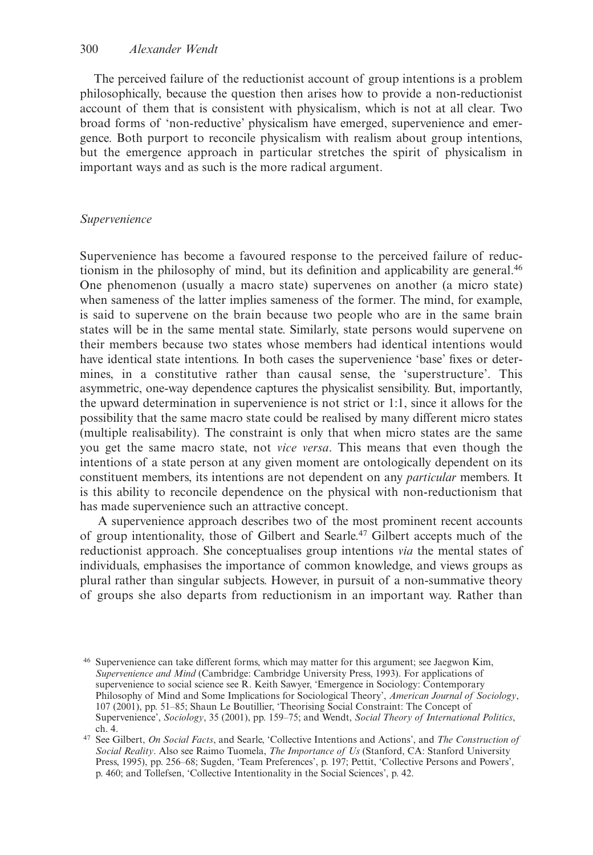The perceived failure of the reductionist account of group intentions is a problem philosophically, because the question then arises how to provide a non-reductionist account of them that is consistent with physicalism, which is not at all clear. Two broad forms of 'non-reductive' physicalism have emerged, supervenience and emergence. Both purport to reconcile physicalism with realism about group intentions, but the emergence approach in particular stretches the spirit of physicalism in important ways and as such is the more radical argument.

## *Supervenience*

Supervenience has become a favoured response to the perceived failure of reductionism in the philosophy of mind, but its definition and applicability are general.46 One phenomenon (usually a macro state) supervenes on another (a micro state) when sameness of the latter implies sameness of the former. The mind, for example, is said to supervene on the brain because two people who are in the same brain states will be in the same mental state. Similarly, state persons would supervene on their members because two states whose members had identical intentions would have identical state intentions. In both cases the supervenience 'base' fixes or determines, in a constitutive rather than causal sense, the 'superstructure'. This asymmetric, one-way dependence captures the physicalist sensibility. But, importantly, the upward determination in supervenience is not strict or 1:1, since it allows for the possibility that the same macro state could be realised by many different micro states (multiple realisability). The constraint is only that when micro states are the same you get the same macro state, not *vice versa*. This means that even though the intentions of a state person at any given moment are ontologically dependent on its constituent members, its intentions are not dependent on any *particular* members. It is this ability to reconcile dependence on the physical with non-reductionism that has made supervenience such an attractive concept.

A supervenience approach describes two of the most prominent recent accounts of group intentionality, those of Gilbert and Searle.47 Gilbert accepts much of the reductionist approach. She conceptualises group intentions *via* the mental states of individuals, emphasises the importance of common knowledge, and views groups as plural rather than singular subjects. However, in pursuit of a non-summative theory of groups she also departs from reductionism in an important way. Rather than

<sup>46</sup> Supervenience can take different forms, which may matter for this argument; see Jaegwon Kim, *Supervenience and Mind* (Cambridge: Cambridge University Press, 1993). For applications of supervenience to social science see R. Keith Sawyer, 'Emergence in Sociology: Contemporary Philosophy of Mind and Some Implications for Sociological Theory', *American Journal of Sociology*, 107 (2001), pp. 51–85; Shaun Le Boutillier, 'Theorising Social Constraint: The Concept of Supervenience', *Sociology*, 35 (2001), pp. 159–75; and Wendt, *Social Theory of International Politics*, ch. 4.

<sup>47</sup> See Gilbert, *On Social Facts*, and Searle, 'Collective Intentions and Actions', and *The Construction of Social Reality*. Also see Raimo Tuomela, *The Importance of Us* (Stanford, CA: Stanford University Press, 1995), pp. 256–68; Sugden, 'Team Preferences', p. 197; Pettit, 'Collective Persons and Powers', p. 460; and Tollefsen, 'Collective Intentionality in the Social Sciences', p. 42.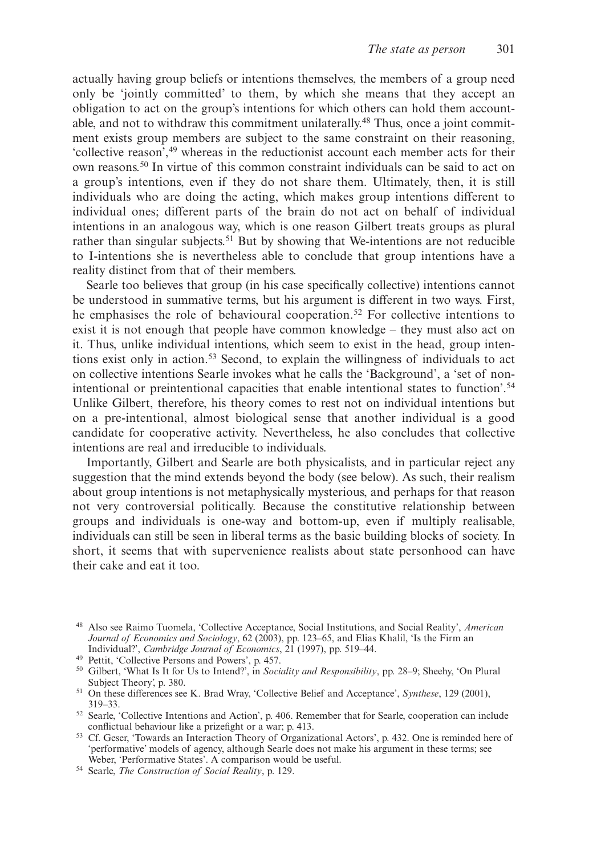actually having group beliefs or intentions themselves, the members of a group need only be 'jointly committed' to them, by which she means that they accept an obligation to act on the group's intentions for which others can hold them accountable, and not to withdraw this commitment unilaterally.<sup>48</sup> Thus, once a joint commitment exists group members are subject to the same constraint on their reasoning, 'collective reason',49 whereas in the reductionist account each member acts for their own reasons.50 In virtue of this common constraint individuals can be said to act on a group's intentions, even if they do not share them. Ultimately, then, it is still individuals who are doing the acting, which makes group intentions different to individual ones; different parts of the brain do not act on behalf of individual intentions in an analogous way, which is one reason Gilbert treats groups as plural rather than singular subjects.<sup>51</sup> But by showing that We-intentions are not reducible to I-intentions she is nevertheless able to conclude that group intentions have a reality distinct from that of their members.

Searle too believes that group (in his case specifically collective) intentions cannot be understood in summative terms, but his argument is different in two ways. First, he emphasises the role of behavioural cooperation.<sup>52</sup> For collective intentions to exist it is not enough that people have common knowledge – they must also act on it. Thus, unlike individual intentions, which seem to exist in the head, group intentions exist only in action.53 Second, to explain the willingness of individuals to act on collective intentions Searle invokes what he calls the 'Background', a 'set of nonintentional or preintentional capacities that enable intentional states to function'.54 Unlike Gilbert, therefore, his theory comes to rest not on individual intentions but on a pre-intentional, almost biological sense that another individual is a good candidate for cooperative activity. Nevertheless, he also concludes that collective intentions are real and irreducible to individuals.

Importantly, Gilbert and Searle are both physicalists, and in particular reject any suggestion that the mind extends beyond the body (see below). As such, their realism about group intentions is not metaphysically mysterious, and perhaps for that reason not very controversial politically. Because the constitutive relationship between groups and individuals is one-way and bottom-up, even if multiply realisable, individuals can still be seen in liberal terms as the basic building blocks of society. In short, it seems that with supervenience realists about state personhood can have their cake and eat it too.

<sup>48</sup> Also see Raimo Tuomela, 'Collective Acceptance, Social Institutions, and Social Reality', *American Journal of Economics and Sociology*, 62 (2003), pp. 123–65, and Elias Khalil, 'Is the Firm an Individual?', *Cambridge Journal of Economics*, 21 (1997), pp. 519–44.

<sup>49</sup> Pettit, 'Collective Persons and Powers', p. 457.

<sup>50</sup> Gilbert, 'What Is It for Us to Intend?', in *Sociality and Responsibility*, pp. 28–9; Sheehy, 'On Plural Subject Theory', p. 380.

<sup>51</sup> On these differences see K. Brad Wray, 'Collective Belief and Acceptance', *Synthese*, 129 (2001), 319–33.

<sup>52</sup> Searle, 'Collective Intentions and Action', p. 406. Remember that for Searle, cooperation can include conflictual behaviour like a prizefight or a war; p. 413.

<sup>53</sup> Cf. Geser, 'Towards an Interaction Theory of Organizational Actors', p. 432. One is reminded here of 'performative' models of agency, although Searle does not make his argument in these terms; see Weber, 'Performative States'. A comparison would be useful.

<sup>54</sup> Searle, *The Construction of Social Reality*, p. 129.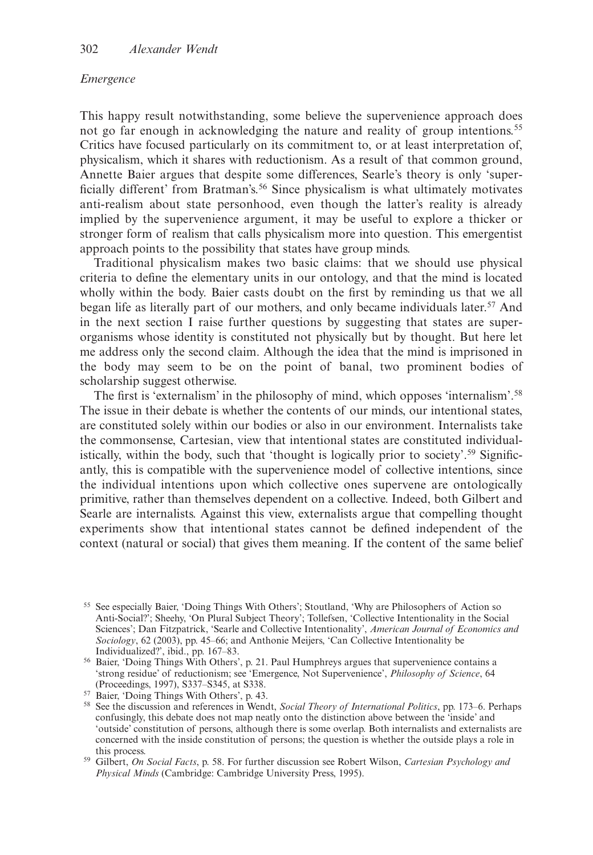## *Emergence*

This happy result notwithstanding, some believe the supervenience approach does not go far enough in acknowledging the nature and reality of group intentions.<sup>55</sup> Critics have focused particularly on its commitment to, or at least interpretation of, physicalism, which it shares with reductionism. As a result of that common ground, Annette Baier argues that despite some differences, Searle's theory is only 'superficially different' from Bratman's.56 Since physicalism is what ultimately motivates anti-realism about state personhood, even though the latter's reality is already implied by the supervenience argument, it may be useful to explore a thicker or stronger form of realism that calls physicalism more into question. This emergentist approach points to the possibility that states have group minds.

Traditional physicalism makes two basic claims: that we should use physical criteria to define the elementary units in our ontology, and that the mind is located wholly within the body. Baier casts doubt on the first by reminding us that we all began life as literally part of our mothers, and only became individuals later.57 And in the next section I raise further questions by suggesting that states are superorganisms whose identity is constituted not physically but by thought. But here let me address only the second claim. Although the idea that the mind is imprisoned in the body may seem to be on the point of banal, two prominent bodies of scholarship suggest otherwise.

The first is 'externalism' in the philosophy of mind, which opposes 'internalism'.<sup>58</sup> The issue in their debate is whether the contents of our minds, our intentional states, are constituted solely within our bodies or also in our environment. Internalists take the commonsense, Cartesian, view that intentional states are constituted individualistically, within the body, such that 'thought is logically prior to society'.<sup>59</sup> Significantly, this is compatible with the supervenience model of collective intentions, since the individual intentions upon which collective ones supervene are ontologically primitive, rather than themselves dependent on a collective. Indeed, both Gilbert and Searle are internalists. Against this view, externalists argue that compelling thought experiments show that intentional states cannot be defined independent of the context (natural or social) that gives them meaning. If the content of the same belief

<sup>55</sup> See especially Baier, 'Doing Things With Others'; Stoutland, 'Why are Philosophers of Action so Anti-Social?'; Sheehy, 'On Plural Subject Theory'; Tollefsen, 'Collective Intentionality in the Social Sciences'; Dan Fitzpatrick, 'Searle and Collective Intentionality', *American Journal of Economics and Sociology*, 62 (2003), pp. 45–66; and Anthonie Meijers, 'Can Collective Intentionality be Individualized?', ibid., pp. 167–83.

<sup>56</sup> Baier, 'Doing Things With Others', p. 21. Paul Humphreys argues that supervenience contains a 'strong residue' of reductionism; see 'Emergence, Not Supervenience', *Philosophy of Science*, 64 (Proceedings, 1997), S337–S345, at S338.

<sup>57</sup> Baier, 'Doing Things With Others', p. 43.

<sup>58</sup> See the discussion and references in Wendt, *Social Theory of International Politics*, pp. 173–6. Perhaps confusingly, this debate does not map neatly onto the distinction above between the 'inside' and 'outside' constitution of persons, although there is some overlap. Both internalists and externalists are concerned with the inside constitution of persons; the question is whether the outside plays a role in this process.

<sup>59</sup> Gilbert, *On Social Facts*, p. 58. For further discussion see Robert Wilson, *Cartesian Psychology and Physical Minds* (Cambridge: Cambridge University Press, 1995).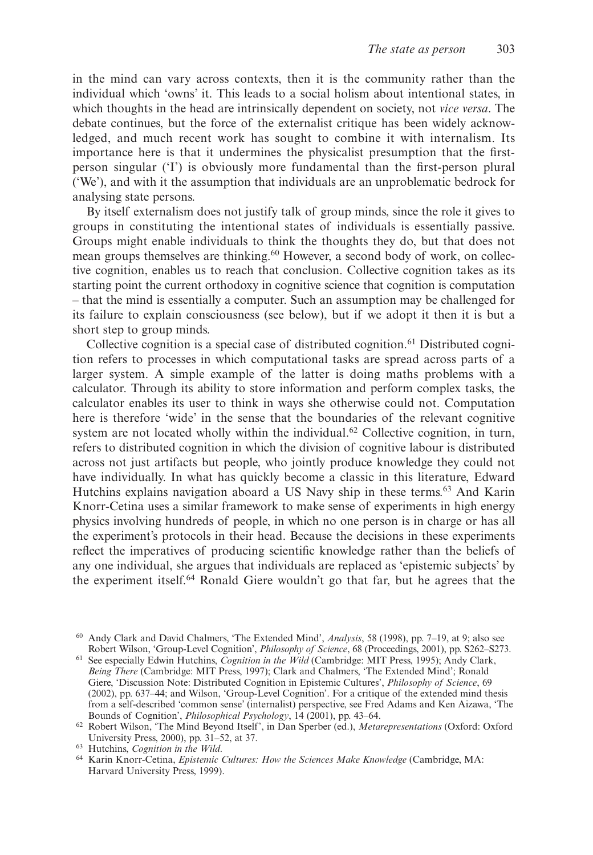in the mind can vary across contexts, then it is the community rather than the individual which 'owns' it. This leads to a social holism about intentional states, in which thoughts in the head are intrinsically dependent on society, not *vice versa*. The debate continues, but the force of the externalist critique has been widely acknowledged, and much recent work has sought to combine it with internalism. Its importance here is that it undermines the physicalist presumption that the firstperson singular ('I') is obviously more fundamental than the first-person plural ('We'), and with it the assumption that individuals are an unproblematic bedrock for analysing state persons.

By itself externalism does not justify talk of group minds, since the role it gives to groups in constituting the intentional states of individuals is essentially passive. Groups might enable individuals to think the thoughts they do, but that does not mean groups themselves are thinking.<sup>60</sup> However, a second body of work, on collective cognition, enables us to reach that conclusion. Collective cognition takes as its starting point the current orthodoxy in cognitive science that cognition is computation – that the mind is essentially a computer. Such an assumption may be challenged for its failure to explain consciousness (see below), but if we adopt it then it is but a short step to group minds.

Collective cognition is a special case of distributed cognition.<sup>61</sup> Distributed cognition refers to processes in which computational tasks are spread across parts of a larger system. A simple example of the latter is doing maths problems with a calculator. Through its ability to store information and perform complex tasks, the calculator enables its user to think in ways she otherwise could not. Computation here is therefore 'wide' in the sense that the boundaries of the relevant cognitive system are not located wholly within the individual.<sup>62</sup> Collective cognition, in turn, refers to distributed cognition in which the division of cognitive labour is distributed across not just artifacts but people, who jointly produce knowledge they could not have individually. In what has quickly become a classic in this literature, Edward Hutchins explains navigation aboard a US Navy ship in these terms.63 And Karin Knorr-Cetina uses a similar framework to make sense of experiments in high energy physics involving hundreds of people, in which no one person is in charge or has all the experiment's protocols in their head. Because the decisions in these experiments reflect the imperatives of producing scientific knowledge rather than the beliefs of any one individual, she argues that individuals are replaced as 'epistemic subjects' by the experiment itself.64 Ronald Giere wouldn't go that far, but he agrees that the

<sup>60</sup> Andy Clark and David Chalmers, 'The Extended Mind', *Analysis*, 58 (1998), pp. 7–19, at 9; also see Robert Wilson, 'Group-Level Cognition', *Philosophy of Science*, 68 (Proceedings, 2001), pp. S262–S273.

<sup>61</sup> See especially Edwin Hutchins, *Cognition in the Wild* (Cambridge: MIT Press, 1995); Andy Clark, *Being There* (Cambridge: MIT Press, 1997); Clark and Chalmers, 'The Extended Mind'; Ronald Giere, 'Discussion Note: Distributed Cognition in Epistemic Cultures', *Philosophy of Science*, 69 (2002), pp. 637–44; and Wilson, 'Group-Level Cognition'. For a critique of the extended mind thesis from a self-described 'common sense' (internalist) perspective, see Fred Adams and Ken Aizawa, 'The Bounds of Cognition', *Philosophical Psychology*, 14 (2001), pp. 43–64.

<sup>62</sup> Robert Wilson, 'The Mind Beyond Itself', in Dan Sperber (ed.), *Metarepresentations* (Oxford: Oxford University Press, 2000), pp. 31–52, at 37.

<sup>63</sup> Hutchins, *Cognition in the Wild*.

<sup>64</sup> Karin Knorr-Cetina, *Epistemic Cultures: How the Sciences Make Knowledge* (Cambridge, MA: Harvard University Press, 1999).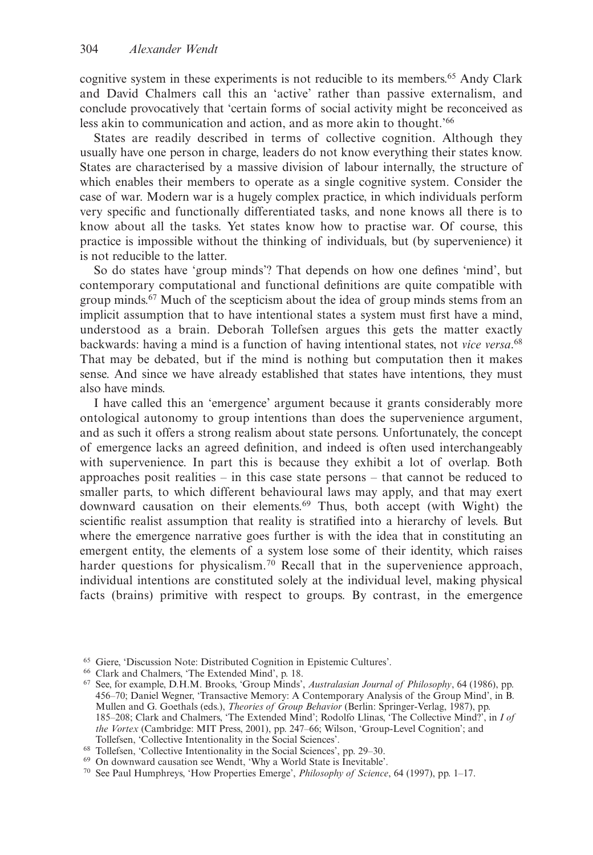cognitive system in these experiments is not reducible to its members.<sup>65</sup> Andy Clark and David Chalmers call this an 'active' rather than passive externalism, and conclude provocatively that 'certain forms of social activity might be reconceived as less akin to communication and action, and as more akin to thought.'66

States are readily described in terms of collective cognition. Although they usually have one person in charge, leaders do not know everything their states know. States are characterised by a massive division of labour internally, the structure of which enables their members to operate as a single cognitive system. Consider the case of war. Modern war is a hugely complex practice, in which individuals perform very specific and functionally differentiated tasks, and none knows all there is to know about all the tasks. Yet states know how to practise war. Of course, this practice is impossible without the thinking of individuals, but (by supervenience) it is not reducible to the latter.

So do states have 'group minds'? That depends on how one defines 'mind', but contemporary computational and functional definitions are quite compatible with group minds.67 Much of the scepticism about the idea of group minds stems from an implicit assumption that to have intentional states a system must first have a mind, understood as a brain. Deborah Tollefsen argues this gets the matter exactly backwards: having a mind is a function of having intentional states, not *vice versa*. 68 That may be debated, but if the mind is nothing but computation then it makes sense. And since we have already established that states have intentions, they must also have minds.

I have called this an 'emergence' argument because it grants considerably more ontological autonomy to group intentions than does the supervenience argument, and as such it offers a strong realism about state persons. Unfortunately, the concept of emergence lacks an agreed definition, and indeed is often used interchangeably with supervenience. In part this is because they exhibit a lot of overlap. Both approaches posit realities – in this case state persons – that cannot be reduced to smaller parts, to which different behavioural laws may apply, and that may exert downward causation on their elements.69 Thus, both accept (with Wight) the scientific realist assumption that reality is stratified into a hierarchy of levels. But where the emergence narrative goes further is with the idea that in constituting an emergent entity, the elements of a system lose some of their identity, which raises harder questions for physicalism.<sup>70</sup> Recall that in the supervenience approach, individual intentions are constituted solely at the individual level, making physical facts (brains) primitive with respect to groups. By contrast, in the emergence

<sup>65</sup> Giere, 'Discussion Note: Distributed Cognition in Epistemic Cultures'.

<sup>66</sup> Clark and Chalmers, 'The Extended Mind', p. 18.

<sup>67</sup> See, for example, D.H.M. Brooks, 'Group Minds', *Australasian Journal of Philosophy*, 64 (1986), pp. 456–70; Daniel Wegner, 'Transactive Memory: A Contemporary Analysis of the Group Mind', in B. Mullen and G. Goethals (eds.), *Theories of Group Behavior* (Berlin: Springer-Verlag, 1987), pp. 185–208; Clark and Chalmers, 'The Extended Mind'; Rodolfo Llinas, 'The Collective Mind?', in *I of the Vortex* (Cambridge: MIT Press, 2001), pp. 247–66; Wilson, 'Group-Level Cognition'; and Tollefsen, 'Collective Intentionality in the Social Sciences'.

<sup>68</sup> Tollefsen, 'Collective Intentionality in the Social Sciences', pp. 29–30.

<sup>69</sup> On downward causation see Wendt, 'Why a World State is Inevitable'.

<sup>70</sup> See Paul Humphreys, 'How Properties Emerge', *Philosophy of Science*, 64 (1997), pp. 1–17.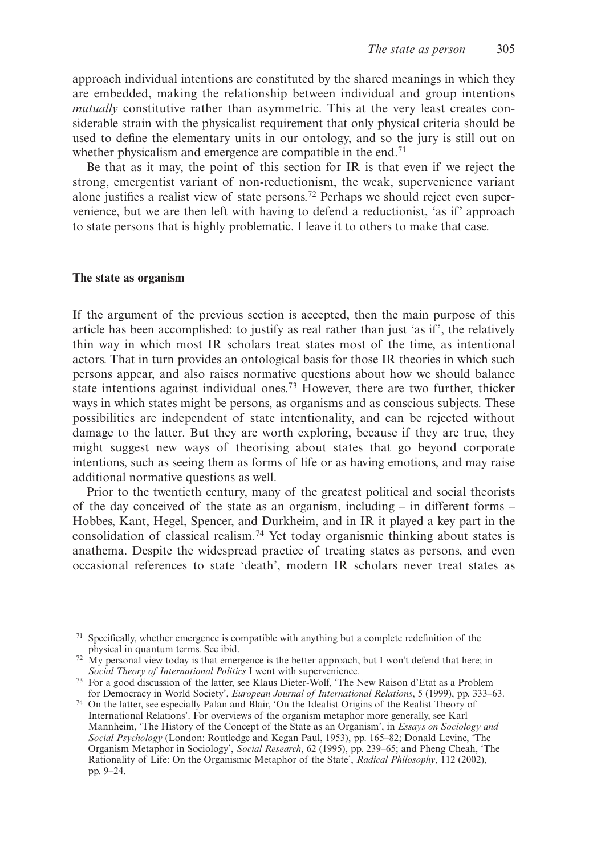approach individual intentions are constituted by the shared meanings in which they are embedded, making the relationship between individual and group intentions *mutually* constitutive rather than asymmetric. This at the very least creates considerable strain with the physicalist requirement that only physical criteria should be used to define the elementary units in our ontology, and so the jury is still out on whether physicalism and emergence are compatible in the end.<sup>71</sup>

Be that as it may, the point of this section for IR is that even if we reject the strong, emergentist variant of non-reductionism, the weak, supervenience variant alone justifies a realist view of state persons.72 Perhaps we should reject even supervenience, but we are then left with having to defend a reductionist, 'as if' approach to state persons that is highly problematic. I leave it to others to make that case.

#### **The state as organism**

If the argument of the previous section is accepted, then the main purpose of this article has been accomplished: to justify as real rather than just 'as if', the relatively thin way in which most IR scholars treat states most of the time, as intentional actors. That in turn provides an ontological basis for those IR theories in which such persons appear, and also raises normative questions about how we should balance state intentions against individual ones.<sup>73</sup> However, there are two further, thicker ways in which states might be persons, as organisms and as conscious subjects. These possibilities are independent of state intentionality, and can be rejected without damage to the latter. But they are worth exploring, because if they are true, they might suggest new ways of theorising about states that go beyond corporate intentions, such as seeing them as forms of life or as having emotions, and may raise additional normative questions as well.

Prior to the twentieth century, many of the greatest political and social theorists of the day conceived of the state as an organism, including  $-$  in different forms  $-$ Hobbes, Kant, Hegel, Spencer, and Durkheim, and in IR it played a key part in the consolidation of classical realism.74 Yet today organismic thinking about states is anathema. Despite the widespread practice of treating states as persons, and even occasional references to state 'death', modern IR scholars never treat states as

<sup>&</sup>lt;sup>71</sup> Specifically, whether emergence is compatible with anything but a complete redefinition of the physical in quantum terms. See ibid.

 $\frac{72 \text{ My}}{12 \text{ Ny}}$  personal view today is that emergence is the better approach, but I won't defend that here; in *Social Theory of International Politics* I went with supervenience.

<sup>73</sup> For a good discussion of the latter, see Klaus Dieter-Wolf, 'The New Raison d'Etat as a Problem for Democracy in World Society', *European Journal of International Relations*, 5 (1999), pp. 333–63.

<sup>74</sup> On the latter, see especially Palan and Blair, 'On the Idealist Origins of the Realist Theory of International Relations'. For overviews of the organism metaphor more generally, see Karl Mannheim, 'The History of the Concept of the State as an Organism', in *Essays on Sociology and Social Psychology* (London: Routledge and Kegan Paul, 1953), pp. 165–82; Donald Levine, 'The Organism Metaphor in Sociology', *Social Research*, 62 (1995), pp. 239–65; and Pheng Cheah, 'The Rationality of Life: On the Organismic Metaphor of the State', *Radical Philosophy*, 112 (2002), pp. 9–24.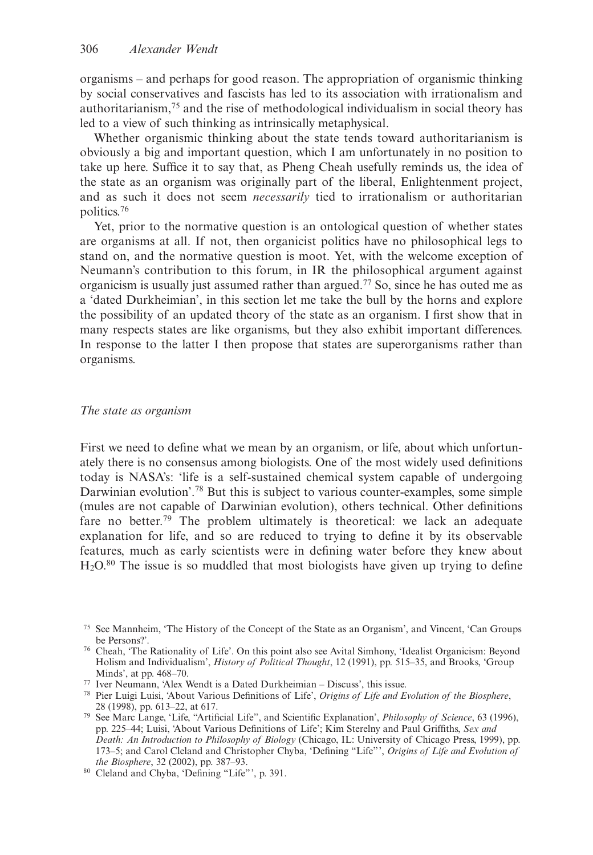organisms – and perhaps for good reason. The appropriation of organismic thinking by social conservatives and fascists has led to its association with irrationalism and authoritarianism,75 and the rise of methodological individualism in social theory has led to a view of such thinking as intrinsically metaphysical.

Whether organismic thinking about the state tends toward authoritarianism is obviously a big and important question, which I am unfortunately in no position to take up here. Suffice it to say that, as Pheng Cheah usefully reminds us, the idea of the state as an organism was originally part of the liberal, Enlightenment project, and as such it does not seem *necessarily* tied to irrationalism or authoritarian politics.76

Yet, prior to the normative question is an ontological question of whether states are organisms at all. If not, then organicist politics have no philosophical legs to stand on, and the normative question is moot. Yet, with the welcome exception of Neumann's contribution to this forum, in IR the philosophical argument against organicism is usually just assumed rather than argued.<sup>77</sup> So, since he has outed me as a 'dated Durkheimian', in this section let me take the bull by the horns and explore the possibility of an updated theory of the state as an organism. I first show that in many respects states are like organisms, but they also exhibit important differences. In response to the latter I then propose that states are superorganisms rather than organisms.

## *The state as organism*

First we need to define what we mean by an organism, or life, about which unfortunately there is no consensus among biologists. One of the most widely used definitions today is NASA's: 'life is a self-sustained chemical system capable of undergoing Darwinian evolution'.78 But this is subject to various counter-examples, some simple (mules are not capable of Darwinian evolution), others technical. Other definitions fare no better.<sup>79</sup> The problem ultimately is theoretical: we lack an adequate explanation for life, and so are reduced to trying to define it by its observable features, much as early scientists were in defining water before they knew about  $H<sub>2</sub>O<sub>80</sub>$  The issue is so muddled that most biologists have given up trying to define

<sup>78</sup> Pier Luigi Luisi, 'About Various Definitions of Life', *Origins of Life and Evolution of the Biosphere*, 28 (1998), pp. 613–22, at 617.

<sup>75</sup> See Mannheim, 'The History of the Concept of the State as an Organism', and Vincent, 'Can Groups be Persons?'.

<sup>76</sup> Cheah, 'The Rationality of Life'. On this point also see Avital Simhony, 'Idealist Organicism: Beyond Holism and Individualism', *History of Political Thought*, 12 (1991), pp. 515–35, and Brooks, 'Group Minds', at pp. 468–70.

<sup>77</sup> Iver Neumann, 'Alex Wendt is a Dated Durkheimian – Discuss', this issue.

<sup>79</sup> See Marc Lange, 'Life, "Artificial Life", and Scientific Explanation', *Philosophy of Science*, 63 (1996), pp. 225–44; Luisi, 'About Various Definitions of Life'; Kim Sterelny and Paul Griffiths, *Sex and Death: An Introduction to Philosophy of Biology* (Chicago, IL: University of Chicago Press, 1999), pp. 173–5; and Carol Cleland and Christopher Chyba, 'Defining "Life"', *Origins of Life and Evolution of the Biosphere*, 32 (2002), pp. 387–93.

<sup>80</sup> Cleland and Chyba, 'Defining "Life"', p. 391.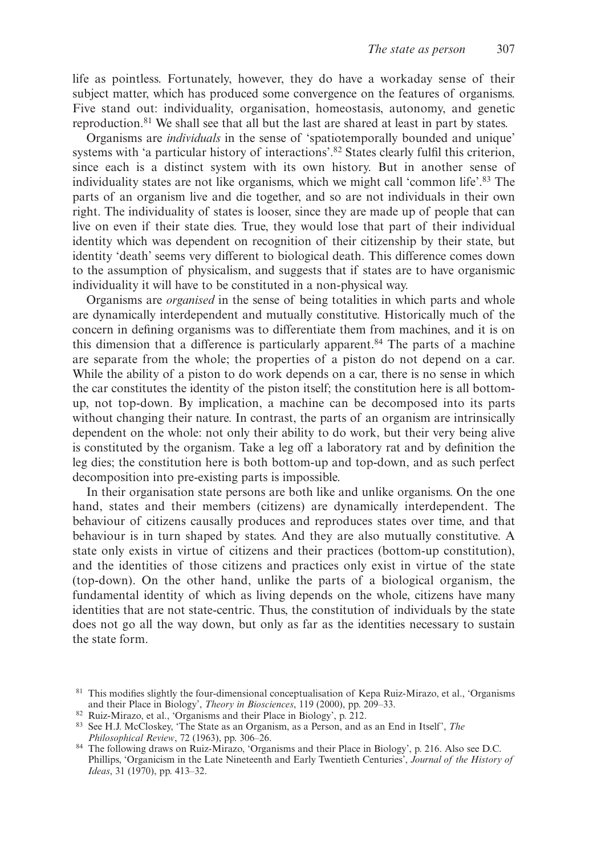life as pointless. Fortunately, however, they do have a workaday sense of their subject matter, which has produced some convergence on the features of organisms. Five stand out: individuality, organisation, homeostasis, autonomy, and genetic reproduction.81 We shall see that all but the last are shared at least in part by states.

Organisms are *individuals* in the sense of 'spatiotemporally bounded and unique' systems with 'a particular history of interactions'.82 States clearly fulfil this criterion, since each is a distinct system with its own history. But in another sense of individuality states are not like organisms, which we might call 'common life'.<sup>83</sup> The parts of an organism live and die together, and so are not individuals in their own right. The individuality of states is looser, since they are made up of people that can live on even if their state dies. True, they would lose that part of their individual identity which was dependent on recognition of their citizenship by their state, but identity 'death' seems very different to biological death. This difference comes down to the assumption of physicalism, and suggests that if states are to have organismic individuality it will have to be constituted in a non-physical way.

Organisms are *organised* in the sense of being totalities in which parts and whole are dynamically interdependent and mutually constitutive. Historically much of the concern in defining organisms was to differentiate them from machines, and it is on this dimension that a difference is particularly apparent.84 The parts of a machine are separate from the whole; the properties of a piston do not depend on a car. While the ability of a piston to do work depends on a car, there is no sense in which the car constitutes the identity of the piston itself; the constitution here is all bottomup, not top-down. By implication, a machine can be decomposed into its parts without changing their nature. In contrast, the parts of an organism are intrinsically dependent on the whole: not only their ability to do work, but their very being alive is constituted by the organism. Take a leg off a laboratory rat and by definition the leg dies; the constitution here is both bottom-up and top-down, and as such perfect decomposition into pre-existing parts is impossible.

In their organisation state persons are both like and unlike organisms. On the one hand, states and their members (citizens) are dynamically interdependent. The behaviour of citizens causally produces and reproduces states over time, and that behaviour is in turn shaped by states. And they are also mutually constitutive. A state only exists in virtue of citizens and their practices (bottom-up constitution), and the identities of those citizens and practices only exist in virtue of the state (top-down). On the other hand, unlike the parts of a biological organism, the fundamental identity of which as living depends on the whole, citizens have many identities that are not state-centric. Thus, the constitution of individuals by the state does not go all the way down, but only as far as the identities necessary to sustain the state form.

<sup>81</sup> This modifies slightly the four-dimensional conceptualisation of Kepa Ruiz-Mirazo, et al., 'Organisms and their Place in Biology', *Theory in Biosciences*, 119 (2000), pp. 209–33.

<sup>82</sup> Ruiz-Mirazo, et al., 'Organisms and their Place in Biology', p. 212.

<sup>83</sup> See H.J. McCloskey, 'The State as an Organism, as a Person, and as an End in Itself', *The Philosophical Review*, 72 (1963), pp. 306–26.

<sup>84</sup> The following draws on Ruiz-Mirazo, 'Organisms and their Place in Biology', p. 216. Also see D.C. Phillips, 'Organicism in the Late Nineteenth and Early Twentieth Centuries', *Journal of the History of Ideas*, 31 (1970), pp. 413–32.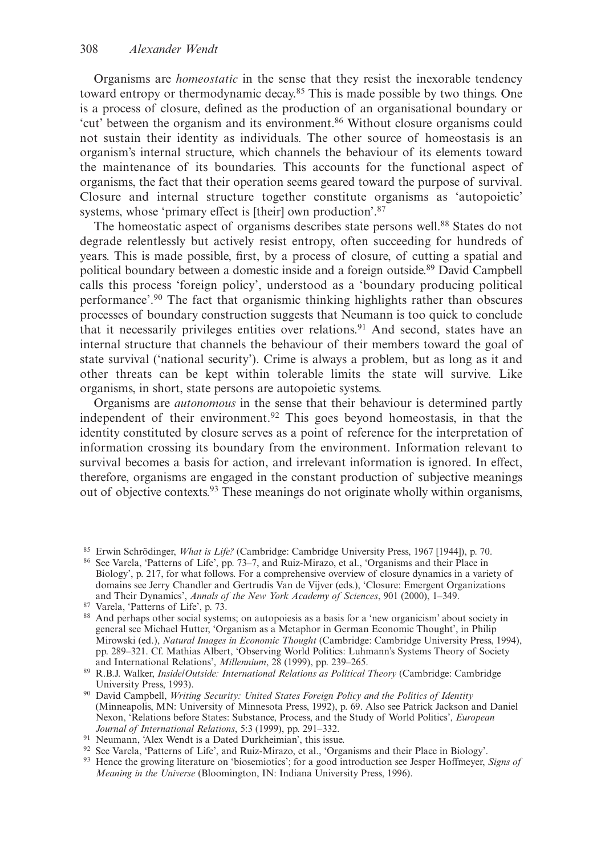Organisms are *homeostatic* in the sense that they resist the inexorable tendency toward entropy or thermodynamic decay.85 This is made possible by two things. One is a process of closure, defined as the production of an organisational boundary or 'cut' between the organism and its environment.86 Without closure organisms could not sustain their identity as individuals. The other source of homeostasis is an organism's internal structure, which channels the behaviour of its elements toward the maintenance of its boundaries. This accounts for the functional aspect of organisms, the fact that their operation seems geared toward the purpose of survival. Closure and internal structure together constitute organisms as 'autopoietic' systems, whose 'primary effect is [their] own production'.<sup>87</sup>

The homeostatic aspect of organisms describes state persons well.<sup>88</sup> States do not degrade relentlessly but actively resist entropy, often succeeding for hundreds of years. This is made possible, first, by a process of closure, of cutting a spatial and political boundary between a domestic inside and a foreign outside.89 David Campbell calls this process 'foreign policy', understood as a 'boundary producing political performance'.90 The fact that organismic thinking highlights rather than obscures processes of boundary construction suggests that Neumann is too quick to conclude that it necessarily privileges entities over relations.91 And second, states have an internal structure that channels the behaviour of their members toward the goal of state survival ('national security'). Crime is always a problem, but as long as it and other threats can be kept within tolerable limits the state will survive. Like organisms, in short, state persons are autopoietic systems.

Organisms are *autonomous* in the sense that their behaviour is determined partly independent of their environment.<sup>92</sup> This goes beyond homeostasis, in that the identity constituted by closure serves as a point of reference for the interpretation of information crossing its boundary from the environment. Information relevant to survival becomes a basis for action, and irrelevant information is ignored. In effect, therefore, organisms are engaged in the constant production of subjective meanings out of objective contexts.93 These meanings do not originate wholly within organisms,

<sup>86</sup> See Varela, 'Patterns of Life', pp. 73–7, and Ruiz-Mirazo, et al., 'Organisms and their Place in Biology', p. 217, for what follows. For a comprehensive overview of closure dynamics in a variety of domains see Jerry Chandler and Gertrudis Van de Vijver (eds.), 'Closure: Emergent Organizations and Their Dynamics', *Annals of the New York Academy of Sciences*, 901 (2000), 1–349.

<sup>93</sup> Hence the growing literature on 'biosemiotics'; for a good introduction see Jesper Hoffmeyer, *Signs of Meaning in the Universe* (Bloomington, IN: Indiana University Press, 1996).

<sup>85</sup> Erwin Schrödinger, *What is Life?* (Cambridge: Cambridge University Press, 1967 [1944]), p. 70.

<sup>87</sup> Varela, 'Patterns of Life', p. 73.

<sup>88</sup> And perhaps other social systems; on autopoiesis as a basis for a 'new organicism' about society in general see Michael Hutter, 'Organism as a Metaphor in German Economic Thought', in Philip Mirowski (ed.), *Natural Images in Economic Thought* (Cambridge: Cambridge University Press, 1994), pp. 289–321. Cf. Mathias Albert, 'Observing World Politics: Luhmann's Systems Theory of Society and International Relations', *Millennium*, 28 (1999), pp. 239–265.

<sup>89</sup> R.B.J. Walker, *Inside/Outside: International Relations as Political Theory* (Cambridge: Cambridge University Press, 1993).

<sup>90</sup> David Campbell, *Writing Security: United States Foreign Policy and the Politics of Identity* (Minneapolis, MN: University of Minnesota Press, 1992), p. 69. Also see Patrick Jackson and Daniel Nexon, 'Relations before States: Substance, Process, and the Study of World Politics', *European Journal of International Relations*, 5:3 (1999), pp. 291–332.

<sup>91</sup> Neumann, 'Alex Wendt is a Dated Durkheimian', this issue.

<sup>92</sup> See Varela, 'Patterns of Life', and Ruiz-Mirazo, et al., 'Organisms and their Place in Biology'.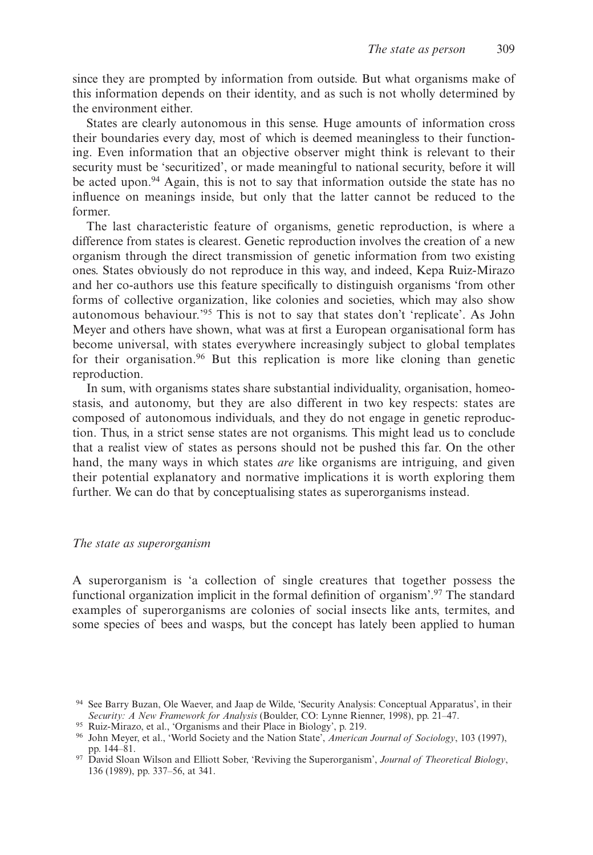since they are prompted by information from outside. But what organisms make of this information depends on their identity, and as such is not wholly determined by the environment either.

States are clearly autonomous in this sense. Huge amounts of information cross their boundaries every day, most of which is deemed meaningless to their functioning. Even information that an objective observer might think is relevant to their security must be 'securitized', or made meaningful to national security, before it will be acted upon.94 Again, this is not to say that information outside the state has no influence on meanings inside, but only that the latter cannot be reduced to the former.

The last characteristic feature of organisms, genetic reproduction, is where a difference from states is clearest. Genetic reproduction involves the creation of a new organism through the direct transmission of genetic information from two existing ones. States obviously do not reproduce in this way, and indeed, Kepa Ruiz-Mirazo and her co-authors use this feature specifically to distinguish organisms 'from other forms of collective organization, like colonies and societies, which may also show autonomous behaviour.'95 This is not to say that states don't 'replicate'. As John Meyer and others have shown, what was at first a European organisational form has become universal, with states everywhere increasingly subject to global templates for their organisation.<sup>96</sup> But this replication is more like cloning than genetic reproduction.

In sum, with organisms states share substantial individuality, organisation, homeostasis, and autonomy, but they are also different in two key respects: states are composed of autonomous individuals, and they do not engage in genetic reproduction. Thus, in a strict sense states are not organisms. This might lead us to conclude that a realist view of states as persons should not be pushed this far. On the other hand, the many ways in which states *are* like organisms are intriguing, and given their potential explanatory and normative implications it is worth exploring them further. We can do that by conceptualising states as superorganisms instead.

#### *The state as superorganism*

A superorganism is 'a collection of single creatures that together possess the functional organization implicit in the formal definition of organism'.97 The standard examples of superorganisms are colonies of social insects like ants, termites, and some species of bees and wasps, but the concept has lately been applied to human

<sup>94</sup> See Barry Buzan, Ole Waever, and Jaap de Wilde, 'Security Analysis: Conceptual Apparatus', in their *Security: A New Framework for Analysis* (Boulder, CO: Lynne Rienner, 1998), pp. 21–47.

<sup>95</sup> Ruiz-Mirazo, et al., 'Organisms and their Place in Biology', p. 219.

<sup>96</sup> John Meyer, et al., 'World Society and the Nation State', *American Journal of Sociology*, 103 (1997), pp. 144–81.

<sup>97</sup> David Sloan Wilson and Elliott Sober, 'Reviving the Superorganism', *Journal of Theoretical Biology*, 136 (1989), pp. 337–56, at 341.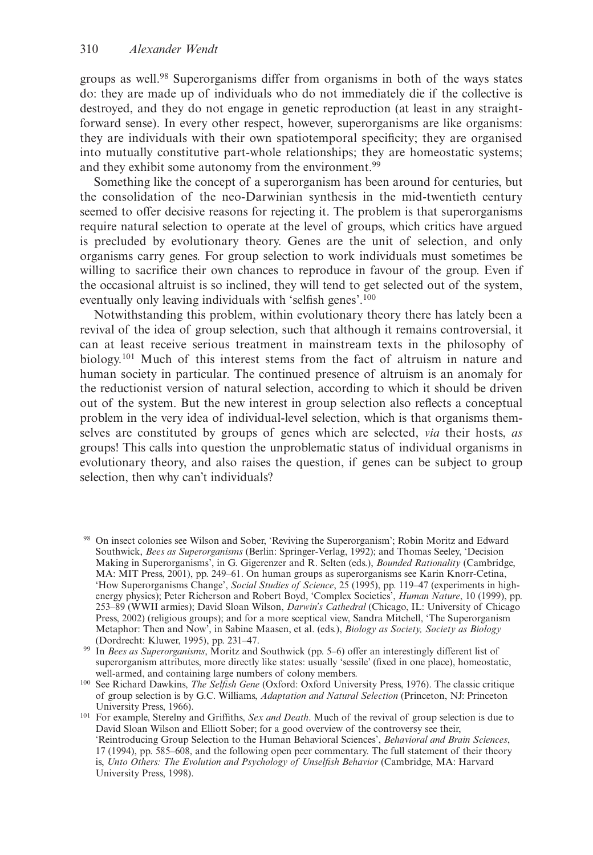groups as well.98 Superorganisms differ from organisms in both of the ways states do: they are made up of individuals who do not immediately die if the collective is destroyed, and they do not engage in genetic reproduction (at least in any straightforward sense). In every other respect, however, superorganisms are like organisms: they are individuals with their own spatiotemporal specificity; they are organised into mutually constitutive part-whole relationships; they are homeostatic systems; and they exhibit some autonomy from the environment.<sup>99</sup>

Something like the concept of a superorganism has been around for centuries, but the consolidation of the neo-Darwinian synthesis in the mid-twentieth century seemed to offer decisive reasons for rejecting it. The problem is that superorganisms require natural selection to operate at the level of groups, which critics have argued is precluded by evolutionary theory. Genes are the unit of selection, and only organisms carry genes. For group selection to work individuals must sometimes be willing to sacrifice their own chances to reproduce in favour of the group. Even if the occasional altruist is so inclined, they will tend to get selected out of the system, eventually only leaving individuals with 'selfish genes'.<sup>100</sup>

Notwithstanding this problem, within evolutionary theory there has lately been a revival of the idea of group selection, such that although it remains controversial, it can at least receive serious treatment in mainstream texts in the philosophy of biology.101 Much of this interest stems from the fact of altruism in nature and human society in particular. The continued presence of altruism is an anomaly for the reductionist version of natural selection, according to which it should be driven out of the system. But the new interest in group selection also reflects a conceptual problem in the very idea of individual-level selection, which is that organisms themselves are constituted by groups of genes which are selected, *via* their hosts, *as* groups! This calls into question the unproblematic status of individual organisms in evolutionary theory, and also raises the question, if genes can be subject to group selection, then why can't individuals?

<sup>98</sup> On insect colonies see Wilson and Sober, 'Reviving the Superorganism'; Robin Moritz and Edward Southwick, *Bees as Superorganisms* (Berlin: Springer-Verlag, 1992); and Thomas Seeley, 'Decision Making in Superorganisms', in G. Gigerenzer and R. Selten (eds.), *Bounded Rationality* (Cambridge, MA: MIT Press, 2001), pp. 249–61. On human groups as superorganisms see Karin Knorr-Cetina, 'How Superorganisms Change', *Social Studies of Science*, 25 (1995), pp. 119–47 (experiments in highenergy physics); Peter Richerson and Robert Boyd, 'Complex Societies', *Human Nature*, 10 (1999), pp. 253–89 (WWII armies); David Sloan Wilson, *Darwin's Cathedral* (Chicago, IL: University of Chicago Press, 2002) (religious groups); and for a more sceptical view, Sandra Mitchell, 'The Superorganism Metaphor: Then and Now', in Sabine Maasen, et al. (eds.), *Biology as Society, Society as Biology* (Dordrecht: Kluwer, 1995), pp. 231–47.

<sup>99</sup> In *Bees as Superorganisms*, Moritz and Southwick (pp. 5–6) offer an interestingly different list of superorganism attributes, more directly like states: usually 'sessile' (fixed in one place), homeostatic, well-armed, and containing large numbers of colony members.

<sup>100</sup> See Richard Dawkins, *The Selfish Gene* (Oxford: Oxford University Press, 1976). The classic critique of group selection is by G.C. Williams, *Adaptation and Natural Selection* (Princeton, NJ: Princeton University Press, 1966).

<sup>101</sup> For example, Sterelny and Griffiths, *Sex and Death*. Much of the revival of group selection is due to David Sloan Wilson and Elliott Sober; for a good overview of the controversy see their, 'Reintroducing Group Selection to the Human Behavioral Sciences', *Behavioral and Brain Sciences*, 17 (1994), pp. 585–608, and the following open peer commentary. The full statement of their theory is, *Unto Others: The Evolution and Psychology of Unselfish Behavior* (Cambridge, MA: Harvard University Press, 1998).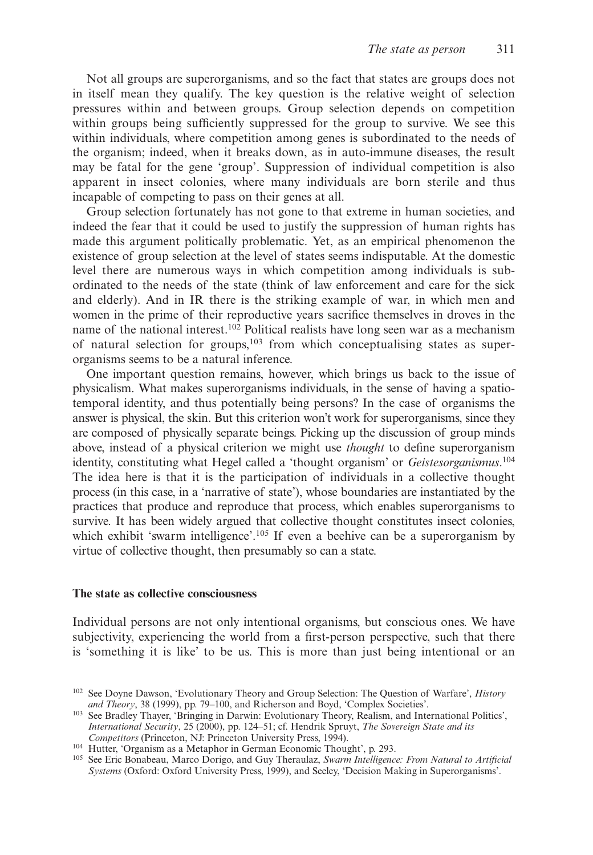Not all groups are superorganisms, and so the fact that states are groups does not in itself mean they qualify. The key question is the relative weight of selection pressures within and between groups. Group selection depends on competition within groups being sufficiently suppressed for the group to survive. We see this within individuals, where competition among genes is subordinated to the needs of the organism; indeed, when it breaks down, as in auto-immune diseases, the result may be fatal for the gene 'group'. Suppression of individual competition is also apparent in insect colonies, where many individuals are born sterile and thus incapable of competing to pass on their genes at all.

Group selection fortunately has not gone to that extreme in human societies, and indeed the fear that it could be used to justify the suppression of human rights has made this argument politically problematic. Yet, as an empirical phenomenon the existence of group selection at the level of states seems indisputable. At the domestic level there are numerous ways in which competition among individuals is subordinated to the needs of the state (think of law enforcement and care for the sick and elderly). And in IR there is the striking example of war, in which men and women in the prime of their reproductive years sacrifice themselves in droves in the name of the national interest.102 Political realists have long seen war as a mechanism of natural selection for groups,103 from which conceptualising states as superorganisms seems to be a natural inference.

One important question remains, however, which brings us back to the issue of physicalism. What makes superorganisms individuals, in the sense of having a spatiotemporal identity, and thus potentially being persons? In the case of organisms the answer is physical, the skin. But this criterion won't work for superorganisms, since they are composed of physically separate beings. Picking up the discussion of group minds above, instead of a physical criterion we might use *thought* to define superorganism identity, constituting what Hegel called a 'thought organism' or *Geistesorganismus*. 104 The idea here is that it is the participation of individuals in a collective thought process (in this case, in a 'narrative of state'), whose boundaries are instantiated by the practices that produce and reproduce that process, which enables superorganisms to survive. It has been widely argued that collective thought constitutes insect colonies, which exhibit 'swarm intelligence'.<sup>105</sup> If even a beehive can be a superorganism by virtue of collective thought, then presumably so can a state.

## **The state as collective consciousness**

Individual persons are not only intentional organisms, but conscious ones. We have subjectivity, experiencing the world from a first-person perspective, such that there is 'something it is like' to be us. This is more than just being intentional or an

<sup>102</sup> See Doyne Dawson, 'Evolutionary Theory and Group Selection: The Question of Warfare', *History and Theory*, 38 (1999), pp. 79–100, and Richerson and Boyd, 'Complex Societies'.

<sup>103</sup> See Bradley Thayer, 'Bringing in Darwin: Evolutionary Theory, Realism, and International Politics', *International Security*, 25 (2000), pp. 124–51; cf. Hendrik Spruyt, *The Sovereign State and its Competitors* (Princeton, NJ: Princeton University Press, 1994).

<sup>&</sup>lt;sup>104</sup> Hutter, 'Organism as a Metaphor in German Economic Thought', p. 293.

<sup>105</sup> See Eric Bonabeau, Marco Dorigo, and Guy Theraulaz, *Swarm Intelligence: From Natural to Artificial Systems* (Oxford: Oxford University Press, 1999), and Seeley, 'Decision Making in Superorganisms'.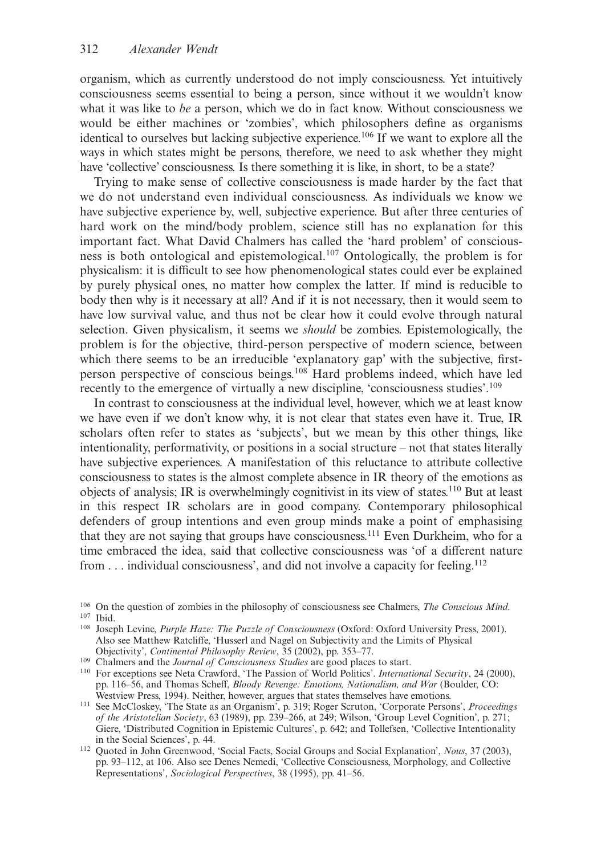organism, which as currently understood do not imply consciousness. Yet intuitively consciousness seems essential to being a person, since without it we wouldn't know what it was like to *be* a person, which we do in fact know. Without consciousness we would be either machines or 'zombies', which philosophers define as organisms identical to ourselves but lacking subjective experience.106 If we want to explore all the ways in which states might be persons, therefore, we need to ask whether they might have 'collective' consciousness. Is there something it is like, in short, to be a state?

Trying to make sense of collective consciousness is made harder by the fact that we do not understand even individual consciousness. As individuals we know we have subjective experience by, well, subjective experience. But after three centuries of hard work on the mind/body problem, science still has no explanation for this important fact. What David Chalmers has called the 'hard problem' of consciousness is both ontological and epistemological.107 Ontologically, the problem is for physicalism: it is difficult to see how phenomenological states could ever be explained by purely physical ones, no matter how complex the latter. If mind is reducible to body then why is it necessary at all? And if it is not necessary, then it would seem to have low survival value, and thus not be clear how it could evolve through natural selection. Given physicalism, it seems we *should* be zombies. Epistemologically, the problem is for the objective, third-person perspective of modern science, between which there seems to be an irreducible 'explanatory gap' with the subjective, firstperson perspective of conscious beings.108 Hard problems indeed, which have led recently to the emergence of virtually a new discipline, 'consciousness studies'.109

In contrast to consciousness at the individual level, however, which we at least know we have even if we don't know why, it is not clear that states even have it. True, IR scholars often refer to states as 'subjects', but we mean by this other things, like intentionality, performativity, or positions in a social structure – not that states literally have subjective experiences. A manifestation of this reluctance to attribute collective consciousness to states is the almost complete absence in IR theory of the emotions as objects of analysis; IR is overwhelmingly cognitivist in its view of states.110 But at least in this respect IR scholars are in good company. Contemporary philosophical defenders of group intentions and even group minds make a point of emphasising that they are not saying that groups have consciousness.111 Even Durkheim, who for a time embraced the idea, said that collective consciousness was 'of a different nature from . . . individual consciousness', and did not involve a capacity for feeling.112

<sup>106</sup> On the question of zombies in the philosophy of consciousness see Chalmers, *The Conscious Mind*. <sup>107</sup> Ibid.

<sup>108</sup> Joseph Levine, *Purple Haze: The Puzzle of Consciousness* (Oxford: Oxford University Press, 2001). Also see Matthew Ratcliffe, 'Husserl and Nagel on Subjectivity and the Limits of Physical Objectivity', *Continental Philosophy Review*, 35 (2002), pp. 353–77.

<sup>109</sup> Chalmers and the *Journal of Consciousness Studies* are good places to start.

<sup>110</sup> For exceptions see Neta Crawford, 'The Passion of World Politics'. *International Security*, 24 (2000), pp. 116–56, and Thomas Scheff, *Bloody Revenge: Emotions, Nationalism, and War* (Boulder, CO: Westview Press, 1994). Neither, however, argues that states themselves have emotions.

<sup>111</sup> See McCloskey, 'The State as an Organism', p. 319; Roger Scruton, 'Corporate Persons', *Proceedings of the Aristotelian Society*, 63 (1989), pp. 239–266, at 249; Wilson, 'Group Level Cognition', p. 271; Giere, 'Distributed Cognition in Epistemic Cultures', p. 642; and Tollefsen, 'Collective Intentionality in the Social Sciences', p. 44.

<sup>112</sup> Quoted in John Greenwood, 'Social Facts, Social Groups and Social Explanation', *Nous*, 37 (2003), pp. 93–112, at 106. Also see Denes Nemedi, 'Collective Consciousness, Morphology, and Collective Representations', *Sociological Perspectives*, 38 (1995), pp. 41–56.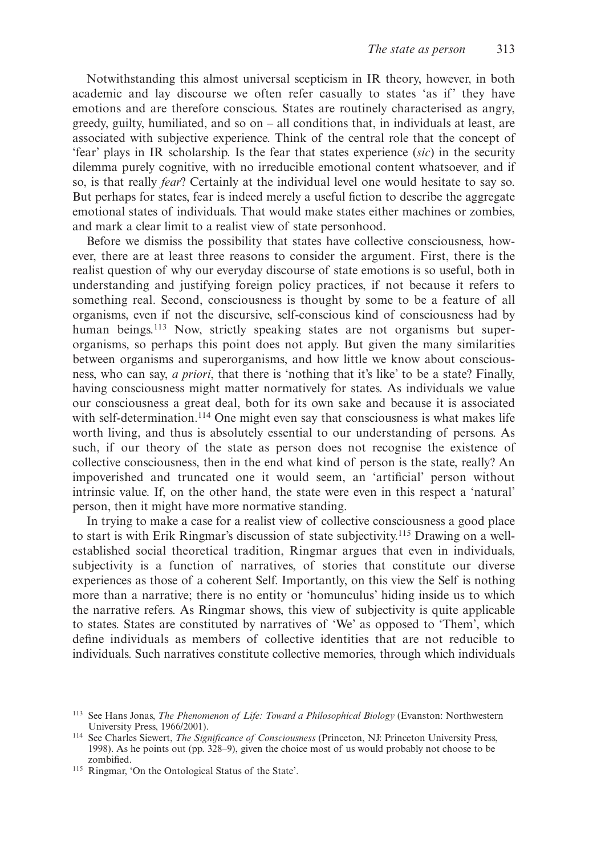Notwithstanding this almost universal scepticism in IR theory, however, in both academic and lay discourse we often refer casually to states 'as if' they have emotions and are therefore conscious. States are routinely characterised as angry, greedy, guilty, humiliated, and so on  $-$  all conditions that, in individuals at least, are associated with subjective experience. Think of the central role that the concept of 'fear' plays in IR scholarship. Is the fear that states experience (*sic*) in the security dilemma purely cognitive, with no irreducible emotional content whatsoever, and if so, is that really *fear*? Certainly at the individual level one would hesitate to say so. But perhaps for states, fear is indeed merely a useful fiction to describe the aggregate emotional states of individuals. That would make states either machines or zombies, and mark a clear limit to a realist view of state personhood.

Before we dismiss the possibility that states have collective consciousness, however, there are at least three reasons to consider the argument. First, there is the realist question of why our everyday discourse of state emotions is so useful, both in understanding and justifying foreign policy practices, if not because it refers to something real. Second, consciousness is thought by some to be a feature of all organisms, even if not the discursive, self-conscious kind of consciousness had by human beings.<sup>113</sup> Now, strictly speaking states are not organisms but superorganisms, so perhaps this point does not apply. But given the many similarities between organisms and superorganisms, and how little we know about consciousness, who can say, *a priori*, that there is 'nothing that it's like' to be a state? Finally, having consciousness might matter normatively for states. As individuals we value our consciousness a great deal, both for its own sake and because it is associated with self-determination.<sup>114</sup> One might even say that consciousness is what makes life worth living, and thus is absolutely essential to our understanding of persons. As such, if our theory of the state as person does not recognise the existence of collective consciousness, then in the end what kind of person is the state, really? An impoverished and truncated one it would seem, an 'artificial' person without intrinsic value. If, on the other hand, the state were even in this respect a 'natural' person, then it might have more normative standing.

In trying to make a case for a realist view of collective consciousness a good place to start is with Erik Ringmar's discussion of state subjectivity.115 Drawing on a wellestablished social theoretical tradition, Ringmar argues that even in individuals, subjectivity is a function of narratives, of stories that constitute our diverse experiences as those of a coherent Self. Importantly, on this view the Self is nothing more than a narrative; there is no entity or 'homunculus' hiding inside us to which the narrative refers. As Ringmar shows, this view of subjectivity is quite applicable to states. States are constituted by narratives of 'We' as opposed to 'Them', which define individuals as members of collective identities that are not reducible to individuals. Such narratives constitute collective memories, through which individuals

<sup>113</sup> See Hans Jonas, *The Phenomenon of Life: Toward a Philosophical Biology* (Evanston: Northwestern University Press, 1966/2001).

<sup>114</sup> See Charles Siewert, *The Significance of Consciousness* (Princeton, NJ: Princeton University Press, 1998). As he points out (pp. 328–9), given the choice most of us would probably not choose to be zombified.

<sup>115</sup> Ringmar, 'On the Ontological Status of the State'.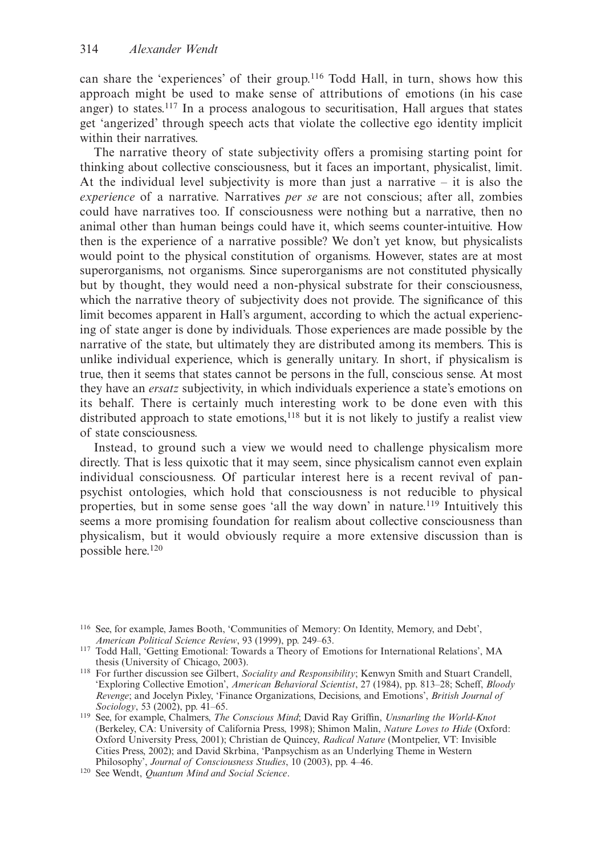can share the 'experiences' of their group.116 Todd Hall, in turn, shows how this approach might be used to make sense of attributions of emotions (in his case anger) to states.117 In a process analogous to securitisation, Hall argues that states get 'angerized' through speech acts that violate the collective ego identity implicit within their narratives.

The narrative theory of state subjectivity offers a promising starting point for thinking about collective consciousness, but it faces an important, physicalist, limit. At the individual level subjectivity is more than just a narrative  $-$  it is also the *experience* of a narrative. Narratives *per se* are not conscious; after all, zombies could have narratives too. If consciousness were nothing but a narrative, then no animal other than human beings could have it, which seems counter-intuitive. How then is the experience of a narrative possible? We don't yet know, but physicalists would point to the physical constitution of organisms. However, states are at most superorganisms, not organisms. Since superorganisms are not constituted physically but by thought, they would need a non-physical substrate for their consciousness, which the narrative theory of subjectivity does not provide. The significance of this limit becomes apparent in Hall's argument, according to which the actual experiencing of state anger is done by individuals. Those experiences are made possible by the narrative of the state, but ultimately they are distributed among its members. This is unlike individual experience, which is generally unitary. In short, if physicalism is true, then it seems that states cannot be persons in the full, conscious sense. At most they have an *ersatz* subjectivity, in which individuals experience a state's emotions on its behalf. There is certainly much interesting work to be done even with this distributed approach to state emotions, $118$  but it is not likely to justify a realist view of state consciousness.

Instead, to ground such a view we would need to challenge physicalism more directly. That is less quixotic that it may seem, since physicalism cannot even explain individual consciousness. Of particular interest here is a recent revival of panpsychist ontologies, which hold that consciousness is not reducible to physical properties, but in some sense goes 'all the way down' in nature.119 Intuitively this seems a more promising foundation for realism about collective consciousness than physicalism, but it would obviously require a more extensive discussion than is possible here.120

<sup>116</sup> See, for example, James Booth, 'Communities of Memory: On Identity, Memory, and Debt', *American Political Science Review*, 93 (1999), pp. 249–63.

<sup>117</sup> Todd Hall, 'Getting Emotional: Towards a Theory of Emotions for International Relations', MA thesis (University of Chicago, 2003).

<sup>118</sup> For further discussion see Gilbert, *Sociality and Responsibility*; Kenwyn Smith and Stuart Crandell, 'Exploring Collective Emotion', *American Behavioral Scientist*, 27 (1984), pp. 813–28; Scheff, *Bloody Revenge*; and Jocelyn Pixley, 'Finance Organizations, Decisions, and Emotions', *British Journal of Sociology*, 53 (2002), pp. 41–65.

<sup>119</sup> See, for example, Chalmers, *The Conscious Mind*; David Ray Griffin, *Unsnarling the World-Knot* (Berkeley, CA: University of California Press, 1998); Shimon Malin, *Nature Loves to Hide* (Oxford: Oxford University Press, 2001); Christian de Quincey, *Radical Nature* (Montpelier, VT: Invisible Cities Press, 2002); and David Skrbina, 'Panpsychism as an Underlying Theme in Western Philosophy', *Journal of Consciousness Studies*, 10 (2003), pp. 4–46.

<sup>120</sup> See Wendt, *Quantum Mind and Social Science*.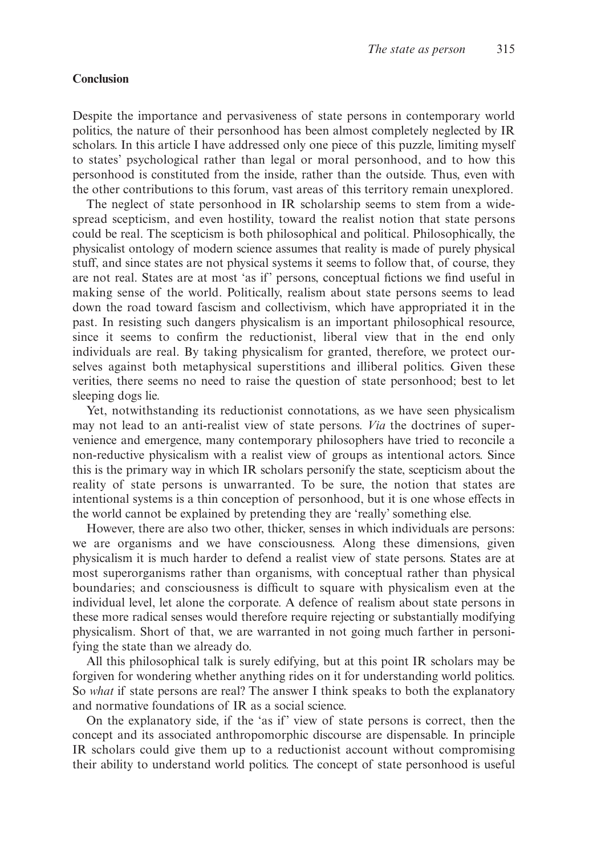#### **Conclusion**

Despite the importance and pervasiveness of state persons in contemporary world politics, the nature of their personhood has been almost completely neglected by IR scholars. In this article I have addressed only one piece of this puzzle, limiting myself to states' psychological rather than legal or moral personhood, and to how this personhood is constituted from the inside, rather than the outside. Thus, even with the other contributions to this forum, vast areas of this territory remain unexplored.

The neglect of state personhood in IR scholarship seems to stem from a widespread scepticism, and even hostility, toward the realist notion that state persons could be real. The scepticism is both philosophical and political. Philosophically, the physicalist ontology of modern science assumes that reality is made of purely physical stuff, and since states are not physical systems it seems to follow that, of course, they are not real. States are at most 'as if' persons, conceptual fictions we find useful in making sense of the world. Politically, realism about state persons seems to lead down the road toward fascism and collectivism, which have appropriated it in the past. In resisting such dangers physicalism is an important philosophical resource, since it seems to confirm the reductionist, liberal view that in the end only individuals are real. By taking physicalism for granted, therefore, we protect ourselves against both metaphysical superstitions and illiberal politics. Given these verities, there seems no need to raise the question of state personhood; best to let sleeping dogs lie.

Yet, notwithstanding its reductionist connotations, as we have seen physicalism may not lead to an anti-realist view of state persons. *Via* the doctrines of supervenience and emergence, many contemporary philosophers have tried to reconcile a non-reductive physicalism with a realist view of groups as intentional actors. Since this is the primary way in which IR scholars personify the state, scepticism about the reality of state persons is unwarranted. To be sure, the notion that states are intentional systems is a thin conception of personhood, but it is one whose effects in the world cannot be explained by pretending they are 'really' something else.

However, there are also two other, thicker, senses in which individuals are persons: we are organisms and we have consciousness. Along these dimensions, given physicalism it is much harder to defend a realist view of state persons. States are at most superorganisms rather than organisms, with conceptual rather than physical boundaries; and consciousness is difficult to square with physicalism even at the individual level, let alone the corporate. A defence of realism about state persons in these more radical senses would therefore require rejecting or substantially modifying physicalism. Short of that, we are warranted in not going much farther in personifying the state than we already do.

All this philosophical talk is surely edifying, but at this point IR scholars may be forgiven for wondering whether anything rides on it for understanding world politics. So *what* if state persons are real? The answer I think speaks to both the explanatory and normative foundations of IR as a social science.

On the explanatory side, if the 'as if' view of state persons is correct, then the concept and its associated anthropomorphic discourse are dispensable. In principle IR scholars could give them up to a reductionist account without compromising their ability to understand world politics. The concept of state personhood is useful